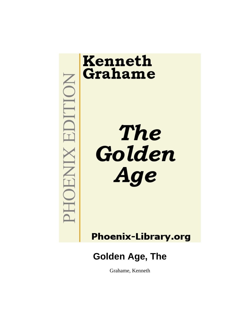

# Kenneth Grahame

**The** Golden Age

**Phoenix-Library.org** 

## **Golden Age, The**

Grahame, Kenneth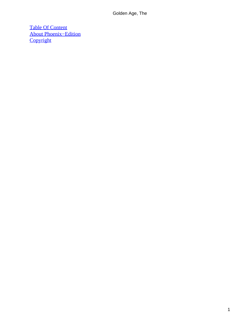[Table Of Content](#page-83-0) [About Phoenix−Edition](#page-84-0) **[Copyright](#page-87-0)**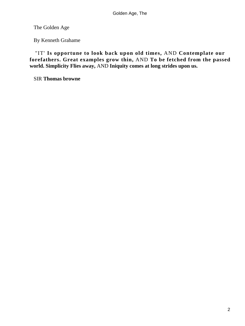The Golden Age

By Kenneth Grahame

 "IT' **Is opportune to look back upon old times,** AND **Contemplate our forefathers. Great examples grow thin,** AND **To be fetched from the passed world. Simplicity Flies away,** AND **Iniquity comes at long strides upon us.**

SIR **Thomas browne**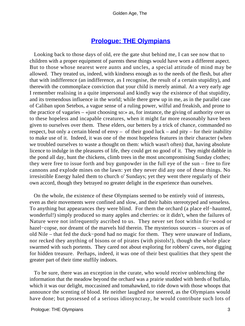### **[Prologue: THE Olympians](#page-83-0)**

 Looking back to those days of old, ere the gate shut behind me, I can see now that to children with a proper equipment of parents these things would have worn a different aspect. But to those whose nearest were aunts and uncles, a special attitude of mind may be allowed. They treated us, indeed, with kindness enough as to the needs of the flesh, but after that with indifference (an indifference, as I recognise, the result of a certain stupidity), and therewith the commonplace conviction that your child is merely animal. At a very early age I remember realising in a quite impersonal and kindly way the existence of that stupidity, and its tremendous influence in the world; while there grew up in me, as in the parallel case of Caliban upon Setebos, a vague sense of a ruling power, wilful and freakish, and prone to the practice of vagaries – «just choosing so:» as, for instance, the giving of authority over us to these hopeless and incapable creatures, when it might far more reasonably have been given to ourselves over them. These elders, our betters by a trick of chance, commanded no respect, but only a certain blend of envy – of their good luck – and pity – for their inability to make use of it. Indeed, it was one of the most hopeless features in their character (when we troubled ourselves to waste a thought on them: which wasn't often) that, having absolute licence to indulge in the pleasures of life, they could get no good of it. They might dabble in the pond all day, hunt the chickens, climb trees in the most uncompromising Sunday clothes; they were free to issue forth and buy gunpowder in the full eye of the sun – free to fire cannons and explode mines on the lawn: yet they never did any one of these things. No irresistible Energy haled them to church o' Sundays; yet they went there regularly of their own accord, though they betrayed no greater delight in the experience than ourselves.

 On the whole, the existence of these Olympians seemed to be entirely void of interests, even as their movements were confined and slow, and their habits stereotyped and senseless. To anything but appearances they were blind. For them the orchard (a place elf−haunted, wonderful!) simply produced so many apples and cherries: or it didn't, when the failures of Nature were not infrequently ascribed to us. They never set foot within fir−wood or hazel−copse, nor dreamt of the marvels hid therein. The mysterious sources – sources as of old Nile – that fed the duck−pond had no magic for them. They were unaware of Indians, nor recked they anything of bisons or of pirates (with pistols!), though the whole place swarmed with such portents. They cared not about exploring for robbers' caves, nor digging for hidden treasure. Perhaps, indeed, it was one of their best qualities that they spent the greater part of their time stuffily indoors.

 To be sure, there was an exception in the curate, who would receive unblenching the information that the meadow beyond the orchard was a prairie studded with herds of buffalo, which it was our delight, moccasined and tomahawked, to ride down with those whoops that announce the scenting of blood. He neither laughed nor sneered, as the Olympians would have done; but possessed of a serious idiosyncrasy, he would contribute such lots of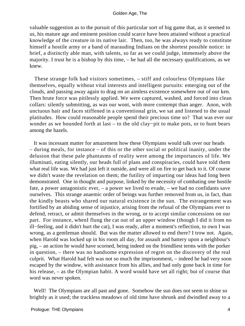valuable suggestion as to the pursuit of this particular sort of big game that, as it seemed to us, his mature age and eminent position could scarce have been attained without a practical knowledge of the creature in its native lair. Then, too, he was always ready to constitute himself a hostile army or a band of marauding Indians on the shortest possible notice: in brief, a distinctly able man, with talents, so far as we could judge, immensely above the majority. I trust he is a bishop by this time, – he had all the necessary qualifications, as we knew.

 These strange folk had visitors sometimes, – stiff and colourless Olympians like themselves, equally without vital interests and intelligent pursuits: emerging out of the clouds, and passing away again to drag on an aimless existence somewhere out of our ken. Then brute force was pitilessly applied. We were captured, washed, and forced into clean collars: silently submitting, as was our wont, with more contempt than anger. Anon, with unctuous hair and faces stiffened in a conventional grin, we sat and listened to the usual platitudes. How could reasonable people spend their precious time so? That was ever our wonder as we bounded forth at last – to the old clay−pit to make pots, or to hunt bears among the hazels.

 It was incessant matter for amazement how these Olympians would talk over our heads – during meals, for instance – of this or the other social or political inanity, under the delusion that these pale phantasms of reality were among the importances of life. We illuminati, eating silently, our heads full of plans and conspiracies, could have told them what real life was. We had just left it outside, and were all on fire to get back to it. Of course we didn't waste the revelation on them; the futility of imparting our ideas had long been demonstrated. One in thought and purpose, linked by the necessity of combating one hostile fate, a power antagonistic ever, – a power we lived to evade, – we had no confidants save ourselves. This strange anaemic order of beings was further removed from us, in fact, than the kindly beasts who shared our natural existence in the sun. The estrangement was fortified by an abiding sense of injustice, arising from the refusal of the Olympians ever to defend, retract, or admit themselves in the wrong, or to accept similar concessions on our part. For instance, whenI flung the cat out of an upper window (though I did it from no ill−feeling, and it didn't hurt the cat), I was ready, after a moment's reflection, to own I was wrong, as a gentleman should. But was the matter allowed to end there? I trow not. Again, when Harold was locked up in his room all day, for assault and battery upon a neighbour's pig, – an action he would have scorned, being indeed on the friendliest terms with the porker in question, – there was no handsome expression of regret on the discovery of the real culprit. What Harold had felt was not so much the imprisonment, – indeed he had very soon escaped by the window, with assistance from his allies, and had only gone back in time for his release, – as the Olympian habit. A word would have set all right; but of course that word was never spoken.

 Well! The Olympians are all past and gone. Somehow the sun does not seem to shine so brightly as it used; the trackless meadows of old time have shrunk and dwindled away to a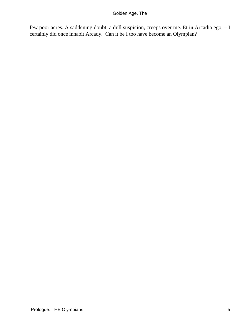few poor acres. A saddening doubt, a dull suspicion, creeps over me. Et in Arcadia ego, – I certainly did once inhabit Arcady. Can it be I too have become an Olympian?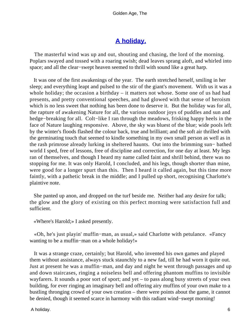## **[A holiday.](#page-83-0)**

 The masterful wind was up and out, shouting and chasing, the lord of the morning. Poplars swayed and tossed with a roaring swish; dead leaves sprang aloft, and whirled into space; and all the clear−swept heaven seemed to thrill with sound like a great harp.

 It was one of the first awakenings of the year. The earth stretched herself, smiling in her sleep; and everything leapt and pulsed to the stir of the giant's movement. With us it was a whole holiday; the occasion a birthday – it matters not whose. Some one of us had had presents, and pretty conventional speeches, and had glowed with that sense of heroism which is no less sweet that nothing has been done to deserve it. But the holiday was for all, the rapture of awakening Nature for all, the various outdoor joys of puddles and sun and hedge−breaking for all. Colt−like I ran through the meadows, frisking happy heels in the face of Nature laughing responsive. Above, the sky was bluest of the blue; wide pools left by the winter's floods flashed the colour back, true and brilliant; and the soft air thrilled with the germinating touch that seemed to kindle something in my own small person as well as in the rash primrose already lurking in sheltered haunts. Out into the brimming sun− bathed world I sped, free of lessons, free of discipline and correction, for one day at least. My legs ran of themselves, and though I heard my name called faint and shrill behind, there was no stopping for me. It was only Harold, I concluded, and his legs, though shorter than mine, were good for a longer spurt than this. Then I heard it called again, but this time more faintly, with a pathetic break in the middle; and I pulled up short, recognising Charlotte's plaintive note.

 She panted up anon, and dropped on the turf beside me. Neither had any desire for talk; the glow and the glory of existing on this perfect morning were satisfaction full and sufficient.

«Where's Harold;» I asked presently.

 «Oh, he's just playin' muffin−man, as usual,» said Charlotte with petulance. «Fancy wanting to be a muffin−man on a whole holiday!»

 It was a strange craze, certainly; but Harold, who invented his own games and played them without assistance, always stuck staunchly to a new fad, till he had worn it quite out. Just at present he was a muffin−man, and day and night he went through passages and up and down staircases, ringing a noiseless bell and offering phantom muffins to invisible wayfarers. It sounds a poor sort of sport; and yet – to pass along busy streets of your own building, for ever ringing an imaginary bell and offering airy muffins of your own make to a bustling thronging crowd of your own creation – there were points about the game, it cannot be denied, though it seemed scarce in harmony with this radiant wind−swept morning!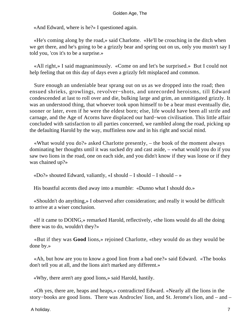«And Edward, where is he?» I questioned again.

 «He's coming along by the road,» said Charlotte. «He'll be crouching in the ditch when we get there, and he's going to be a grizzly bear and spring out on us, only you mustn't say I told you, 'cos it's to be a surprise.»

 «All right,» I said magnanimously. «Come on and let's be surprised.» But I could not help feeling that on this day of days even a grizzly felt misplaced and common.

 Sure enough an undeniable bear sprang out on us as we dropped into the road; then ensued shrieks, growlings, revolver−shots, and unrecorded heroisms, till Edward condescended at last to roll over and die, bulking large and grim, an unmitigated grizzly. It was an understood thing, that whoever took upon himself to be a bear must eventually die, sooner or later, even if he were the eldest born; else, life would have been all strife and carnage, and the Age of Acorns have displaced our hard−won civilisation. This little affair concluded with satisfaction to all parties concerned, we rambled along the road, picking up the defaulting Harold by the way, muffinless now and in his right and social mind.

 «What would you do?» asked Charlotte presently, – the book of the moment always dominating her thoughts until it was sucked dry and cast aside, – «what would you do if you saw two lions in the road, one on each side, and you didn't know if they was loose or if they was chained up?»

«Do?» shouted Edward, valiantly, «I should  $- I$  should  $- Y$  should  $- Y$ 

His boastful accents died away into a mumble: «Dunno what I should do.»

 «Shouldn't do anything,» I observed after consideration; and really it would be difficult to arrive at a wiser conclusion.

 «If it came to DOING,» remarked Harold, reflectively, «the lions would do all the doing there was to do, wouldn't they?»

 «But if they was **Good** lions,» rejoined Charlotte, «they would do as they would be done by.»

 «Ah, but how are you to know a good lion from a bad one?» said Edward. «The books don't tell you at all, and the lions ain't marked any different.»

«Why, there aren't any good lions,» said Harold, hastily.

 «Oh yes, there are, heaps and heaps,» contradicted Edward. «Nearly all the lions in the story−books are good lions. There was Androcles' lion, and St. Jerome's lion, and – and –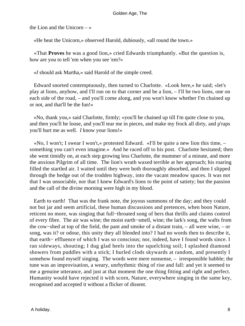the Lion and the Unicorn  $-\infty$ 

«He beat the Unicorn,» observed Harold, dubiously, «all round the town.»

 «That **Proves** he was a good lion,» cried Edwards triumphantly. «But the question is, how are you to tell 'em when you see 'em?»

«*I* should ask Martha,» said Harold of the simple creed.

 Edward snorted contemptuously, then turned to Charlotte. «Look here,» he said; «let's play at lions, anyhow, and I'll run on to that corner and be a lion, – I'll be two lions, one on each side of the road, – and you'll come along, and you won't know whether I'm chained up or not, and that'll be the fun!»

 «No, thank you,» said Charlotte, firmly; «you'll be chained up till I'm quite close to you, and then you'll be loose, and you'll tear me in pieces, and make my frock all dirty, and p'raps you'll hurt me as well. *I* know your lions!»

 «No, I won't; I swear I won't,» protested Edward. «I'll be quite a new lion this time, – something you can't even imagine.» And he raced off to his post. Charlotte hesitated; then she went timidly on, at each step growing less Charlotte, the mummer of a minute, and more the anxious Pilgrim of all time. The lion's wrath waxed terrible at her approach; his roaring filled the startled air. I waited until they were both thoroughly absorbed, and then I slipped through the hedge out of the trodden highway, into the vacant meadow spaces. It was not that I was unsociable, nor that I knew Edward's lions to the point of satiety; but the passion and the call of the divine morning were high in my blood.

 Earth to earth! That was the frank note, the joyous summons of the day; and they could not but jar and seem artificial, these human discussions and pretences, when boon Nature, reticent no more, was singing that full−throated song of hers that thrills and claims control of every fibre. The air was wine; the moist earth−smell, wine; the lark's song, the wafts from the cow−shed at top of the field, the pant and smoke of a distant train, – all were wine, – or song, was it? or odour, this unity they all blended into? I had no words then to describe it, that earth− effluence of which I was so conscious; nor, indeed, have I found words since. I ran sideways, shouting; I dug glad heels into the squelching soil; I splashed diamond showers from puddles with a stick; I hurled clods skywards at random, and presently I somehow found myself singing. The words were mere nonsense, – irresponsible babble; the tune was an improvisation, a weary, unrhythmic thing of rise and fall: and yet it seemed to me a genuine utterance, and just at that moment the one thing fitting and right and perfect. Humanity would have rejected it with scorn, Nature, everywhere singing in the same key, recognised and accepted it without a flicker of dissent.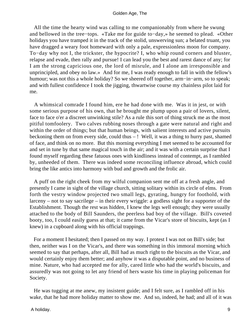All the time the hearty wind was calling to me companionably from where he swung and bellowed in the tree−tops. «Take me for guide to−day,» he seemed to plead. «Other holidays you have tramped it in the track of the stolid, unswerving sun; a belated truant, you have dragged a weary foot homeward with only a pale, expressionless moon for company. To−day why not I, the trickster, the hypocrite? I, who whip round corners and bluster, relapse and evade, then rally and pursue! I can lead you the best and rarest dance of any; for I am the strong capricious one, the lord of misrule, and I alone am irresponsible and unprincipled, and obey no law.» And for me, I was ready enough to fall in with the fellow's humour; was not this a whole holiday? So we sheered off together, arm−in−arm, so to speak; and with fullest confidence I took the jigging, thwartwise course my chainless pilot laid for me.

 A whimsical comrade I found him, ere he had done with me. Was it in jest, or with some serious purpose of his own, that he brought me plump upon a pair of lovers, silent, face to face o'er a discreet unwinking stile? As a rule this sort of thing struck me as the most pitiful tomfoolery. Two calves rubbing noses through a gate were natural and right and within the order of things; but that human beings, with salient interests and active pursuits beckoning them on from every side, could thus – ! Well, it was a thing to hurry past, shamed of face, and think on no more. But this morning everything I met seemed to be accounted for and set in tune by that same magical touch in the air; and it was with a certain surprise that I found myself regarding these fatuous ones with kindliness instead of contempt, as I rambled by, unheeded of them. There was indeed some reconciling influence abroad, which could bring the like antics into harmony with bud and growth and the frolic air.

 A puff on the right cheek from my wilful companion sent me off at a fresh angle, and presently I came in sight of the village church, sitting solitary within its circle of elms. From forth the vestry window projected two small legs, gyrating, hungry for foothold, with larceny – not to say sacrilege – in their every wriggle: a godless sight for a supporter of the Establishment. Though the rest was hidden, I knew the legs well enough; they were usually attached to the body of Bill Saunders, the peerless bad boy of the village. Bill's coveted booty, too, I could easily guess at that; it came from the Vicar's store of biscuits, kept (as I knew) in a cupboard along with his official trappings.

 For a moment I hesitated; then I passed on my way. I protest I was not on Bill's side; but then, neither was I on the Vicar's, and there was something in this immoral morning which seemed to say that perhaps, after all, Bill had as much right to the biscuits as the Vicar, and would certainly enjoy them better; and anyhow it was a disputable point, and no business of mine. Nature, who had accepted me for ally, cared little who had the world's biscuits, and assuredly was not going to let any friend of hers waste his time in playing policeman for Society.

 He was tugging at me anew, my insistent guide; and I felt sure, as I rambled off in his wake, that he had more holiday matter to show me. And so, indeed, he had; and all of it was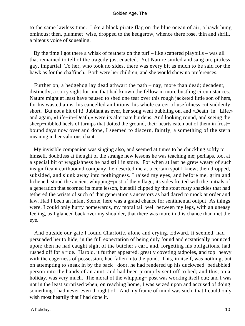to the same lawless tune. Like a black pirate flag on the blue ocean of air, a hawk hung ominous; then, plummet−wise, dropped to the hedgerow, whence there rose, thin and shrill, a piteous voice of squealing.

 By the time I got there a whisk of feathers on the turf – like scattered playbills – was all that remained to tell of the tragedy just enacted. Yet Nature smiled and sang on, pitiless, gay, impartial. To her, who took no sides, there was every bit as much to be said for the hawk as for the chaffinch. Both were her children, and she would show no preferences.

 Further on, a hedgehog lay dead athwart the path – nay, more than dead; decadent, distinctly; a sorry sight for one that had known the fellow in more bustling circumstances. Nature might at least have paused to shed one tear over this rough jacketed little son of hers, for his wasted aims, his cancelled ambitions, his whole career of usefulness cut suddenly short. But not a bit of it! Jubilant as ever, her song went bubbling on, and «Death−in− Life,» and again, «Life−in−Death,» were its alternate burdens. And looking round, and seeing the sheep−nibbled heels of turnips that dotted the ground, their hearts eaten out of them in frost− bound days now over and done, I seemed to discern, faintly, a something of the stern meaning in her valorous chant.

 My invisible companion was singing also, and seemed at times to be chuckling softly to himself, doubtless at thought of the strange new lessons he was teaching me; perhaps, too, at a special bit of waggishness he had still in store. For when at last he grew weary of such insignificant earthbound company, he deserted me at a certain spot I knew; then dropped, subsided, and slunk away into nothingness. I raised my eyes, and before me, grim and lichened, stood the ancient whipping−post of the village; its sides fretted with the initials of a generation that scorned its mute lesson, but still clipped by the stout rusty shackles that had tethered the wrists of such of that generation's ancestors as had dared to mock at order and law. Had I been an infant Sterne, here was a grand chance for sentimental output! As things were, I could only hurry homewards, my moral tail well between my legs, with an uneasy feeling, as I glanced back over my shoulder, that there was more in this chance than met the eye.

 And outside our gate I found Charlotte, alone and crying. Edward, it seemed, had persuaded her to hide, in the full expectation of being duly found and ecstatically pounced upon; then he had caught sight of the butcher's cart, and, forgetting his obligations, had rushed off for a ride. Harold, it further appeared, greatly coveting tadpoles, and top−heavy with the eagerness of possession, had fallen into the pond. This, in itself, was nothing; but on attempting to sneak in by the back− door, he had rendered up his duckweed−bedabbled person into the hands of an aunt, and had been promptly sent off to bed; and this, on a holiday, was very much. The moral of the whipping− post was working itself out; and I was not in the least surprised when, on reaching home, I was seized upon and accused of doing something I had never even thought of. And my frame of mind was such, that I could only wish most heartily that I had done it.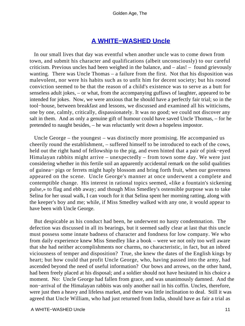## **[A WHITE−WASHED Uncle](#page-83-0)**

 In our small lives that day was eventful when another uncle was to come down from town, and submit his character and qualifications (albeit unconsciously) to our careful criticism. Previous uncles had been weighed in the balance, and – alas! – found grievously wanting. There was Uncle Thomas – a failure from the first. Not that his disposition was malevolent, nor were his habits such as to unfit him for decent society; but his rooted conviction seemed to be that the reason of a child's existence was to serve as a butt for senseless adult jokes, – or what, from the accompanying guffaws of laughter, appeared to be intended for jokes. Now, we were anxious that he should have a perfectly fair trial; so in the tool−house, between breakfast and lessons, we discussed and examined all his witticisms, one by one, calmly, critically, dispassionately. It was no good; we could not discover any salt in them. And as only a genuine gift of humour could have saved Uncle Thomas, – for he pretended to naught besides, – he was reluctantly writ down a hopeless impostor.

 Uncle George – the youngest – was distinctly more promising. He accompanied us cheerily round the establishment, – suffered himself to be introduced to each of the cows, held out the right hand of fellowship to the pig, and even hinted that a pair of pink−eyed Himalayan rabbits might arrive – unexpectedly – from town some day. We were just considering whether in this fertile soil an apparently accidental remark on the solid qualities of guinea− pigs or ferrets might haply blossom and bring forth fruit, when our governess appeared on the scene. Uncle George's manner at once underwent a complete and contemptible change. His interest in rational topics seemed, «like a fountain's sickening pulse,» to flag and ebb away; and though Miss Smedley's ostensible purpose was to take Selina for her usual walk, I can vouch for it that Selina spent her morning ratting, along with the keeper's boy and me; while, if Miss Smedley walked with any one, it would appear to have been with Uncle George.

 But despicable as his conduct had been, he underwent no hasty condemnation. The defection was discussed in all its bearings, but it seemed sadly clear at last that this uncle must possess some innate badness of character and fondness for low company. We who from daily experience knew Miss Smedley like a book – were we not only too well aware that she had neither accomplishments nor charms, no characteristic, in fact, but an inbred viciousness of temper and disposition? True, she knew the dates of the English kings by heart; but how could that profit Uncle George, who, having passed into the army, had ascended beyond the need of useful information? Our bows and arrows, on the other hand, had been freely placed at his disposal; and a soldier should not have hesitated in his choice a moment. No: Uncle George had fallen from grace, and was unanimously damned. And the non−arrival of the Himalayan rabbits was only another nail in his coffin. Uncles, therefore, were just then a heavy and lifeless market, and there was little inclination to deal. Still it was agreed that Uncle William, who had just returned from India, should have as fair a trial as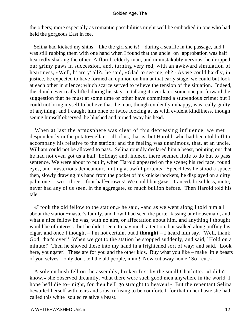the others; more especially as romantic possibilities might well be embodied in one who had held the gorgeous East in fee.

 Selina had kicked my shins – like the girl she is! – during a scuffle in the passage, and I was still rubbing them with one hand when I found that the uncle−on−approbation was half− heartedly shaking the other. A florid, elderly man, and unmistakably nervous, he dropped our grimy paws in succession, and, turning very red, with an awkward simulation of heartiness, «Well, h' are y' all?» he said, «Glad to see me, eh?» As we could hardly, in justice, be expected to have formed an opinion on him at that early stage, we could but look at each other in silence; which scarce served to relieve the tension of the situation. Indeed, the cloud never really lifted during his stay. In talking it over later, some one put forward the suggestion that he must at some time or other have committed a stupendous crime; but I could not bring myself to believe that the man, though evidently unhappy, was really guilty of anything; and I caught him once or twice looking at us with evident kindliness, though seeing himself observed, he blushed and turned away his head.

 When at last the atmosphere was clear of this depressing influence, we met despondently in the potato−cellar – all of us, that is, but Harold, who had been told off to accompany his relative to the station; and the feeling was unanimous, that, at an uncle, William could not be allowed to pass. Selina roundly declared him a beast, pointing out that he had not even got us a half−holiday; and, indeed, there seemed little to do but to pass sentence. We were about to put it, when Harold appeared on the scene; his red face, round eyes, and mysterious demeanour, hinting at awful portents. Speechless he stood a space: then, slowly drawing his hand from the pocket of his knickerbockers, he displayed on a dirty palm one – two – three – four half−crowns! We could but gaze – tranced, breathless, mute; never had any of us seen, in the aggregate, so much bullion before. Then Harold told his tale.

 «I took the old fellow to the station,» he said, «and as we went along I told him all about the station−master's family, and how I had seen the porter kissing our housemaid, and what a nice fellow he was, with no airs, or affectation about him, and anything I thought would be of interest.; but he didn't seem to pay much attention, but walked along puffing his cigar, and once I thought – I'm not certain, but **I thought** – I heard him say, `Well, thank God, that's over!' When we got to the station he stopped suddenly, and said, `Hold on a minute!' Then he shoved these into my hand in a frightened sort of way; and said, `Look here, youngster! These are for you and the other kids. Buy what you like – make little beasts of yourselves – only don't tell the old people, mind! Now cut away home!' So I cut.»

 A solemn hush fell on the assembly, broken first by the small Charlotte. «I didn't know,» she observed dreamily, «that there were such good men anywhere in the world. I hope he'll die to− night, for then he'll go straight to heaven!» But the repentant Selina bewailed herself with tears and sobs, refusing to be comforted; for that in her haste she had called this white−souled relative a beast.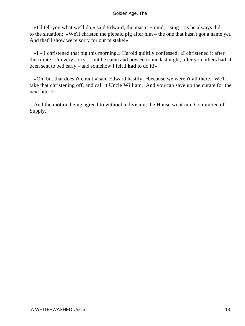«I'll tell you what we'll do,» said Edward, the master−mind, rising – as he always did – to the situation: «We'll christen the piebald pig after him – the one that hasn't got a name yet. And that'll show we're sorry for our mistake!»

 «I – I christened that pig this morning,» Harold guiltily confessed; «I christened it after the curate. I'm very sorry – but he came and bow'ed to me last night, after you others had all been sent to bed early – and somehow I felt **I had** to do it!»

 «Oh, but that doesn't count,» said Edward hastily; «because we weren't all there. We'll take that christening off, and call it Uncle William. And you can save up the curate for the next litter!»

 And the motion being agreed to without a division, the House went into Committee of Supply.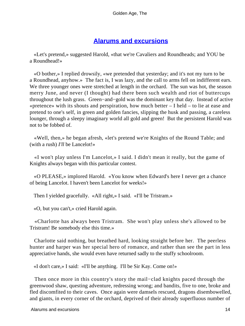## **[Alarums and excursions](#page-83-0)**

 «Let's pretend,» suggested Harold, «that we're Cavaliers and Roundheads; and YOU be a Roundhead!»

 «O bother,» I replied drowsily, «we pretended that yesterday; and it's not my turn to be a Roundhead, anyhow.» The fact is, I was lazy, and the call to arms fell on indifferent ears. We three younger ones were stretched at length in the orchard. The sun was hot, the season merry June, and never (I thought) had there been such wealth and riot of buttercups throughout the lush grass. Green−and−gold was the dominant key that day. Instead of active «pretence» with its shouts and perspiration, how much better – I held – to lie at ease and pretend to one's self, in green and golden fancies, slipping the husk and passing, a careless lounger, through a sleepy imaginary world all gold and green! But the persistent Harold was not to be fobbed of.

 «Well, then,» he began afresh, «let's pretend we're Knights of the Round Table; and (with a rush) *I'll* be Lancelot!»

 «I won't play unless I'm Lancelot,» I said. I didn't mean it really, but the game of Knights always began with this particular contest.

 «O PLEASE,» implored Harold. «You know when Edward's here I never get a chance of being Lancelot. I haven't been Lancelot for weeks!»

Then I yielded gracefully. «All right,» I said. «I'll be Tristram.»

«O, but you can't,» cried Harold again.

 «Charlotte has always been Tristram. She won't play unless she's allowed to be Tristram! Be somebody else this time.»

 Charlotte said nothing, but breathed hard, looking straight before her. The peerless hunter and harper was her special hero of romance, and rather than see the part in less appreciative hands, she would even have returned sadly to the stuffy schoolroom.

«I don't care,» I said: «I'll be anything. I'll be Sir Kay. Come on!»

 Then once more in this country's story the mail−clad knights paced through the greenwood shaw, questing adventure, redressing wrong; and bandits, five to one, broke and fled discomfited to their caves. Once again were damsels rescued, dragons disembowelled, and giants, in every corner of the orchard, deprived of their already superfluous number of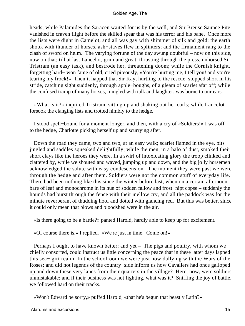heads; while Palamides the Saracen waited for us by the well, and Sir Breuse Saunce Pite vanished in craven flight before the skilled spear that was his terror and his bane. Once more the lists were dight in Camelot, and all was gay with shimmer of silk and gold; the earth shook with thunder of horses, ash−staves flew in splinters; and the firmament rang to the clash of sword on helm. The varying fortune of the day swung doubtful – now on this side, now on that; till at last Lancelot, grim and great, thrusting through the press, unhorsed Sir Tristram (an easy task), and bestrode her, threatening doom; while the Cornish knight, forgetting hard− won fame of old, cried piteously, «You're hurting me, I tell you! and you're tearing my frock!» Then it happed that Sir Kay, hurtling to the rescue, stopped short in his stride, catching sight suddenly, through apple−boughs, of a gleam of scarlet afar off; while the confused tramp of many horses, mingled with talk and laughter, was borne to our ears.

 «What is it?» inquired Tristram, sitting up and shaking out her curls; while Lancelot forsook the clanging lists and trotted nimbly to the hedge.

 I stood spell−bound for a moment longer, and then, with a cry of «Soldiers!» I was off to the hedge, Charlotte picking herself up and scurrying after.

 Down the road they came, two and two, at an easy walk; scarlet flamed in the eye, bits jingled and saddles squeaked delightfully; while the men, in a halo of dust, smoked their short clays like the heroes they were. In a swirl of intoxicating glory the troop clinked and clattered by, while we shouted and waved, jumping up and down, and the big jolly horsemen acknowledged the salute with easy condescension. The moment they were past we were through the hedge and after them. Soldiers were not the common stuff of everyday life. There had been nothing like this since the winter before last, when on a certain afternoon – bare of leaf and monochrome in its hue of sodden fallow and frost−nipt copse – suddenly the hounds had burst through the fence with their mellow cry, and all the paddock was for the minute reverberant of thudding hoof and dotted with glancing red. But this was better, since it could only mean that blows and bloodshed were in the air.

«Is there going to be a battle?» panted Harold, hardly able to keep up for excitement.

«Of course there is,» I replied. «We're just in time. Come on!»

 Perhaps I ought to have known better; and yet – The pigs and poultry, with whom we chiefly consorted, could instruct us little concerning the peace that in these latter days lapped this sea− girt realm. In the schoolroom we were just now dallying with the Wars of the Roses; and did not legends of the country−side inform us how Cavaliers had once galloped up and down these very lanes from their quarters in the village? Here, now, were soldiers unmistakable; and if their business was not fighting, what was it? Sniffing the joy of battle, we followed hard on their tracks.

«Won't Edward be sorry,» puffed Harold, «that he's begun that beastly Latin?»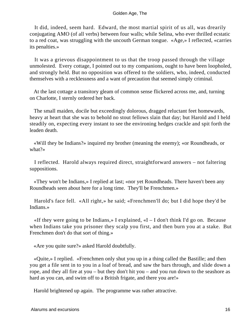It did, indeed, seem hard. Edward, the most martial spirit of us all, was drearily conjugating AMO (of all verbs) between four walls; while Selina, who ever thrilled ecstatic to a red coat, was struggling with the uncouth German tongue. «Age,» I reflected, «carries its penalties.»

 It was a grievous disappointment to us that the troop passed through the village unmolested. Every cottage, I pointed out to my companions, ought to have been loopholed, and strongly held. But no opposition was offered to the soldiers, who, indeed, conducted themselves with a recklessness and a want of precaution that seemed simply criminal.

 At the last cottage a transitory gleam of common sense flickered across me, and, turning on Charlotte, I sternly ordered her back.

 The small maiden, docile but exceedingly dolorous, dragged reluctant feet homewards, heavy at heart that she was to behold no stout fellows slain that day; but Harold and I held steadily on, expecting every instant to see the environing hedges crackle and spit forth the leaden death.

 «Will they be Indians?» inquired my brother (meaning the enemy); «or Roundheads, or what?»

 I reflected. Harold always required direct, straightforward answers – not faltering suppositions.

 «They won't be Indians,» I replied at last; «nor yet Roundheads. There haven't been any Roundheads seen about here for a long time. They'll be Frenchmen.»

 Harold's face fell. «All right,» he said; «Frenchmen'll do; but I did hope they'd be Indians.»

«If they were going to be Indians,» I explained,  $\alpha I - I$  don't think I'd go on. Because when Indians take you prisoner they scalp you first, and then burn you at a stake. But Frenchmen don't do that sort of thing.»

«Are you quite sure?» asked Harold doubtfully.

 «Quite,» I replied. «Frenchmen only shut you up in a thing called the Bastille; and then you get a file sent in to you in a loaf of bread, and saw the bars through, and slide down a rope, and they all fire at you – but they don't hit you – and you run down to the seashore as hard as you can, and swim off to a British frigate, and there you are!»

Harold brightened up again. The programme was rather attractive.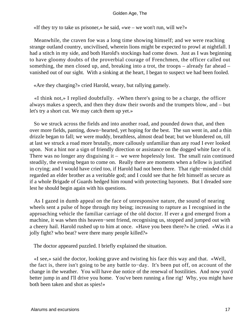«If they try to take us prisoner,» he said, «we – we won't run, will we?»

 Meanwhile, the craven foe was a long time showing himself; and we were reaching strange outland country, uncivilised, wherein lions might be expected to prowl at nightfall. I had a stitch in my side, and both Harold's stockings had come down. Just as I was beginning to have gloomy doubts of the proverbial courage of Frenchmen, the officer called out something, the men closed up, and, breaking into a trot, the troops – already far ahead – vanished out of our sight. With a sinking at the heart, I began to suspect we had been fooled.

«Are they charging?» cried Harold, weary, but rallying gamely.

 «I think not,» I replied doubtfully. «When there's going to be a charge, the officer always makes a speech, and then they draw their swords and the trumpets blow, and – but let's try a short cut. We may catch them up yet.»

 So we struck across the fields and into another road, and pounded down that, and then over more fields, panting, down−hearted, yet hoping for the best. The sun went in, and a thin drizzle began to fall; we were muddy, breathless, almost dead beat; but we blundered on, till at last we struck a road more brutally, more callously unfamiliar than any road I ever looked upon. Not a hint nor a sign of friendly direction or assistance on the dogged white face of it. There was no longer any disguising it – we were hopelessly lost. The small rain continued steadily, the evening began to come on. Really there are moments when a fellow is justified in crying; and I would have cried too, if Harold had not been there. That right−minded child regarded an elder brother as a veritable god; and I could see that he felt himself as secure as if a whole Brigade of Guards hedged him round with protecting bayonets. But I dreaded sore lest he should begin again with his questions.

 As I gazed in dumb appeal on the face of unresponsive nature, the sound of nearing wheels sent a pulse of hope through my being; increasing to rapture as I recognised in the approaching vehicle the familiar carriage of the old doctor. If ever a god emerged from a machine, it was when this heaven−sent friend, recognising us, stopped and jumped out with a cheery hail. Harold rushed up to him at once. «Have you been there?» he cried. «Was it a jolly fight? who beat? were there many people killed?»

The doctor appeared puzzled. I briefly explained the situation.

 «I see,» said the doctor, looking grave and twisting his face this way and that. «Well, the fact is, there isn't going to be any battle to−day. It's been put off, on account of the change in the weather. You will have due notice of the renewal of hostilities. And now you'd better jump in and I'll drive you home. You've been running a fine rig! Why, you might have both been taken and shot as spies!»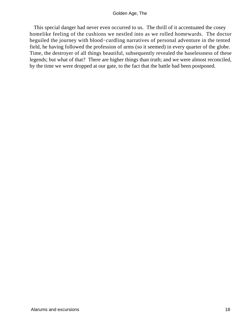This special danger had never even occurred to us. The thrill of it accentuated the cosey homelike feeling of the cushions we nestled into as we rolled homewards. The doctor beguiled the journey with blood−curdling narratives of personal adventure in the tented field, he having followed the profession of arms (so it seemed) in every quarter of the globe. Time, the destroyer of all things beautiful, subsequently revealed the baselessness of these legends; but what of that? There are higher things than truth; and we were almost reconciled, by the time we were dropped at our gate, to the fact that the battle had been postponed.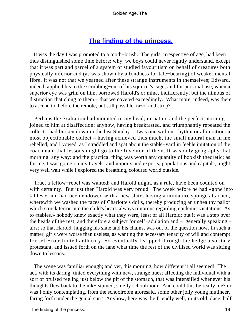## **[The finding of the princess.](#page-83-0)**

 It was the day I was promoted to a tooth−brush. The girls, irrespective of age, had been thus distinguished some time before; why, we boys could never rightly understand, except that it was part and parcel of a system of studied favouritism on behalf of creatures both physically inferior and (as was shown by a fondness for tale−bearing) of weaker mental fibre. It was not that we yearned after these strange instruments in themselves; Edward, indeed, applied his to the scrubbing−out of his squirrel's cage, and for personal use, when a superior eye was grim on him, borrowed Harold's or mine, indifferently; but the nimbus of distinction that clung to them – that we coveted exceedingly. What more, indeed, was there to ascend to, before the remote, but still possible, razor and strop?

 Perhaps the exaltation had mounted to my head; or nature and the perfect morning joined to him at disaffection; anyhow, having breakfasted, and triumphantly repeated the collect I had broken down in the last Sunday – 'twas one without rhythm or alliteration: a most objectionable collect – having achieved thus much, the small natural man in me rebelled, and I vowed, as I straddled and spat about the stable−yard in feeble imitation of the coachman, that lessons might go to the Inventor of them. It was only geography that morning, any way: and the practical thing was worth any quantity of bookish theoretic; as for me, I was going on my travels, and imports and exports, populations and capitals, might very well wait while I explored the breathing, coloured world outside.

 True, a fellow−rebel was wanted; and Harold might, as a rule, have been counted on with certainty. But just then Harold was very proud. The week before he had «gone into tables,» and had been endowed with a new slate, having a miniature sponge attached, wherewith we washed the faces of Charlotte's dolls, thereby producing an unhealthy pallor which struck terror into the child's heart, always timorous regarding epidemic visitations. As to «tables,» nobody knew exactly what they were, least of all Harold; but it was a step over the heads of the rest, and therefore a subject for self−adulation and – generally speaking – airs; so that Harold, hugging his slate and his chains, was out of the question now. In such a matter, girls were worse than useless, as wanting the necessary tenacity of will and contempt for self−constituted authority. So eventually I slipped through the hedge a solitary protestant, and issued forth on the lane what time the rest of the civilised world was sitting down to lessons.

 The scene was familiar enough; and yet, this morning, how different it all seemed! The act, with its daring, tinted everything with new, strange hues; affecting the individual with a sort of bruised feeling just below the pit of the stomach, that was intensified whenever his thoughts flew back to the ink− stained, smelly schoolroom. And could this be really me? or was I only contemplating, from the schoolroom aforesaid, some other jolly young mutineer, faring forth under the genial sun? Anyhow, here was the friendly well, in its old place, half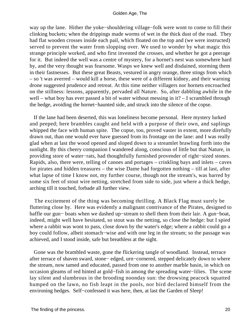way up the lane. Hither the yoke−shouldering village−folk were wont to come to fill their clinking buckets; when the drippings made worms of wet in the thick dust of the road. They had flat wooden crosses inside each pail, which floated on the top and (we were instructed) served to prevent the water from slopping over. We used to wonder by what magic this strange principle worked, and who first invented the crosses, and whether he got a peerage for it. But indeed the well was a centre of mystery, for a hornet's nest was somewhere hard by, and the very thought was fearsome. Wasps we knew well and disdained, storming them in their fastnesses. But these great Beasts, vestured in angry orange, three stings from which – so 't was averred – would kill a horse, these were of a different kidney, and their warning drone suggested prudence and retreat. At this time neither villagers nor hornets encroached on the stillness: lessons, apparently, pervaded all Nature. So, after dabbling awhile in the well – what boy has ever passed a bit of water without messing in it? – I scrambled through the hedge, avoiding the hornet−haunted side, and struck into the silence of the copse.

 If the lane had been deserted, this was loneliness become personal. Here mystery lurked and peeped; here brambles caught and held with a purpose of their own, and saplings whipped the face with human spite. The copse, too, proved vaster in extent, more direfully drawn out, than one would ever have guessed from its frontage on the lane: and I was really glad when at last the wood opened and sloped down to a streamlet brawling forth into the sunlight. By this cheery companion I wandered along, conscious of little but that Nature, in providing store of water−rats, had thoughtfully furnished provender of right−sized stones. Rapids, also, there were, telling of canoes and portages – crinkling bays and inlets – caves for pirates and hidden treasures – the wise Dame had forgotten nothing – till at last, after what lapse of time I know not, my further course, though not the stream's, was barred by some six feet of stout wire netting, stretched from side to side, just where a thick hedge, arching till it touched, forbade all further view.

 The excitement of the thing was becoming thrilling. A Black Flag must surely be fluttering close by. Here was evidently a malignant contrivance of the Pirates, designed to baffle our gun− boats when we dashed up−stream to shell them from their lair. A gun−boat, indeed, might well have hesitated, so stout was the netting, so close the hedge: but I spied where a rabbit was wont to pass, close down by the water's edge; where a rabbit could go a boy could follow, albeit stomach−wise and with one leg in the stream; so the passage was achieved, and I stood inside, safe but breathless at the sight.

 Gone was the brambled waste, gone the flickering tangle of woodland. Instead, terrace after terrace of shaven sward, stone− edged, urn−cornered, stepped delicately down to where the stream, now tamed and educated, passed from one to another marble basin, in which on occasion gleams of red hinted at gold−fish in among the spreading water−lilies. The scene lay silent and slumbrous in the brooding noonday sun: the drowsing peacock squatted humped on the lawn, no fish leapt in the pools, nor bird declared himself from the environing hedges. Self−confessed it was here, then, at last the Garden of Sleep!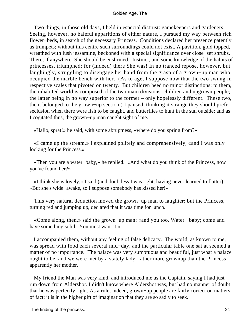Two things, in those old days, I held in especial distrust: gamekeepers and gardeners. Seeing, however, no baleful apparitions of either nature, I pursued my way between rich flower−beds, in search of the necessary Princess. Conditions declared her presence patently as trumpets; without this centre such surroundings could not exist. A pavilion, gold topped, wreathed with lush jessamine, beckoned with a special significance over close−set shrubs. There, if anywhere, She should be enshrined. Instinct, and some knowledge of the habits of princesses, triumphed; for (indeed) there She was! In no tranced repose, however, but laughingly, struggling to disengage her hand from the grasp of a grown−up man who occupied the marble bench with her. (As to age, I suppose now that the two swung in respective scales that pivoted on twenty. But children heed no minor distinctions; to them, the inhabited world is composed of the two main divisions: children and upgrown people; the latter being in no way superior to the former – only hopelessly different. These two, then, belonged to the grown−up section.) I paused, thinking it strange they should prefer seclusion when there were fish to be caught, and butterflies to hunt in the sun outside; and as I cogitated thus, the grown−up man caught sight of me.

«Hallo, sprat!» he said, with some abruptness, «where do you spring from?»

 «I came up the stream,» I explained politely and comprehensively, «and I was only looking for the Princess.»

 «Then you are a water−baby,» he replied. «And what do you think of the Princess, now you've found her?»

 «I think she is lovely,» I said (and doubtless I was right, having never learned to flatter). «But she's wide−awake, so I suppose somebody has kissed her!»

 This very natural deduction moved the grown−up man to laughter; but the Princess, turning red and jumping up, declared that it was time for lunch.

 «Come along, then,» said the grown−up man; «and you too, Water− baby; come and have something solid. You must want it.»

 I accompanied them, without any feeling of false delicacy. The world, as known to me, was spread with food each several mid−day, and the particular table one sat at seemed a matter of no importance. The palace was very sumptuous and beautiful, just what a palace ought to be; and we were met by a stately lady, rather more grownup than the Princess – apparently her mother.

 My friend the Man was very kind, and introduced me as the Captain, saying I had just run down from Aldershot. I didn't know where Aldershot was, but had no manner of doubt that he was perfectly right. As a rule, indeed, grown−up people are fairly correct on matters of fact; it is in the higher gift of imagination that they are so sadly to seek.

The finding of the princess. 21 and 22 and 22 and 22 and 22 and 22 and 22 and 22 and 22 and 22 and 22 and 22 and 22 and 22 and 22 and 22 and 22 and 22 and 22 and 22 and 22 and 22 and 22 and 22 and 22 and 22 and 22 and 22 a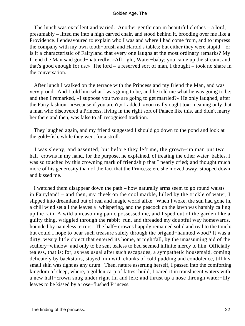The lunch was excellent and varied. Another gentleman in beautiful clothes – a lord, presumably – lifted me into a high carved chair, and stood behind it, brooding over me like a Providence. I endeavoured to explain who I was and where I had come from, and to impress the company with my own tooth−brush and Harold's tables; but either they were stupid – or is it a characteristic of Fairyland that every one laughs at the most ordinary remarks? My friend the Man said good−naturedly, «All right, Water−baby; you came up the stream, and that's good enough for us.» The lord – a reserved sort of man, I thought – took no share in the conversation.

 After lunch I walked on the terrace with the Princess and my friend the Man, and was very proud. And I told him what I was going to be, and he told me what he was going to be; and then I remarked, «I suppose you two are going to get married?» He only laughed, after the Fairy fashion. «Because if you aren't,» I added, «you really ought to»: meaning only that a man who discovered a Princess, living in the right sort of Palace like this, and didn't marry her there and then, was false to all recognised tradition.

 They laughed again, and my friend suggested I should go down to the pond and look at the gold−fish, while they went for a stroll.

 I was sleepy, and assented; but before they left me, the grown−up man put two half–crowns in my hand, for the purpose, he explained, of treating the other water–babies. I was so touched by this crowning mark of friendship that I nearly cried; and thought much more of his generosity than of the fact that the Princess; ere she moved away, stooped down and kissed me.

 I watched them disappear down the path – how naturally arms seem to go round waists in Fairyland! – and then, my cheek on the cool marble, lulled by the trickle of water, I slipped into dreamland out of real and magic world alike. When I woke, the sun had gone in, a chill wind set all the leaves a−whispering, and the peacock on the lawn was harshly calling up the rain. A wild unreasoning panic possessed me, and I sped out of the garden like a guilty thing, wriggled through the rabbit−run, and threaded my doubtful way homewards, hounded by nameless terrors. The half– crowns happily remained solid and real to the touch; but could I hope to bear such treasure safely through the brigand−haunted wood? It was a dirty, weary little object that entered its home, at nightfall, by the unassuming aid of the scullery–window: and only to be sent tealess to bed seemed infinite mercy to him. Officially tealess, that is; for, as was usual after such escapades, a sympathetic housemaid, coming delicately by backstairs, stayed him with chunks of cold pudding and condolence, till his small skin was tight as any drum. Then, nature asserting herself, I passed into the comforting kingdom of sleep, where, a golden carp of fattest build, I oared it in translucent waters with a new half−crown snug under right fin and left; and thrust up a nose through water−lily leaves to be kissed by a rose−flushed Princess.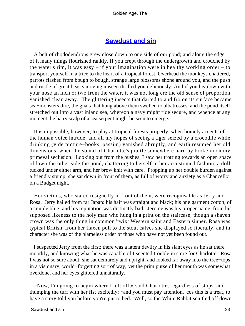## **[Sawdust and sin](#page-83-0)**

 A belt of rhododendrons grew close down to one side of our pond; and along the edge of it many things flourished rankly. If you crept through the undergrowth and crouched by the water's rim, it was easy – if your imagination were in healthy working order – to transport yourself in a trice to the heart of a tropical forest. Overhead the monkeys chattered, parrots flashed from bough to bough, strange large blossoms shone around you, and the push and rustle of great beasts moving unseen thrilled you deliciously. And if you lay down with your nose an inch or two from the water, it was not long ere the old sense of proportion vanished clean away. The glittering insects that darted to and fro on its surface became sea–monsters dire, the gnats that hung above them swelled to albatrosses, and the pond itself stretched out into a vast inland sea, whereon a navy might ride secure, and whence at any moment the hairy scalp of a sea serpent might be seen to emerge.

 It is impossible, however, to play at tropical forests properly, when homely accents of the human voice intrude; and all my hopes of seeing a tiger seized by a crocodile while drinking (vide picture−books, passim) vanished abruptly, and earth resumed her old dimensions, when the sound of Charlotte's prattle somewhere hard by broke in on my primeval seclusion. Looking out from the bushes, I saw her trotting towards an open space of lawn the other side the pond, chattering to herself in her accustomed fashion, a doll tucked under either arm, and her brow knit with care. Propping up her double burden against a friendly stump, she sat down in front of them, as full of worry and anxiety as a Chancellor on a Budget night.

 Her victims, who stared resignedly in front of them, were recognisable as Jerry and Rosa. Jerry hailed from far Japan: his hair was straight and black; his one garment cotton, of a simple blue; and his reputation was distinctly bad. Jerome was his proper name, from his supposed likeness to the holy man who hung in a print on the staircase; though a shaven crown was the only thing in common 'twixt Western saint and Eastern sinner. Rosa was typical British, from her flaxen poll to the stout calves she displayed so liberally, and in character she was of the blameless order of those who have not yet been found out.

 I suspected Jerry from the first; there was a latent devilry in his slant eyes as he sat there moodily, and knowing what he was capable of I scented trouble in store for Charlotte. Rosa I was not so sure about; she sat demurely and upright, and looked far away into the tree−tops in a visionary, world−forgetting sort of way; yet the prim purse of her mouth was somewhat overdone, and her eyes glittered unnaturally.

 «Now, I'm going to begin where I left off,» said Charlotte, regardless of stops, and thumping the turf with her fist excitedly: «and you must pay attention, 'cos this is a treat, to have a story told you before you're put to bed. Well, so the White Rabbit scuttled off down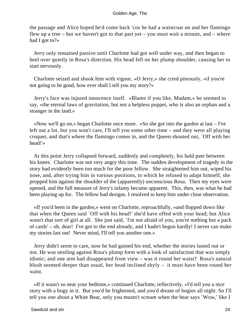the passage and Alice hoped he'd come back 'cos he had a waistcoat on and her flamingo flew up a tree – but we haven't got to that part yet – you must wait a minute, and – where had I got to?»

 Jerry only remained passive until Charlotte had got well under way, and then began to heel over quietly in Rosa's direction. His head fell on her plump shoulder, causing her to start nervously.

 Charlotte seized and shook him with vigour, «O Jerry,» she cried piteously, «if you're not going to be good, how ever shall I tell you my story?»

 Jerry's face was injured innocence itself. «Blame if you like, Madam,» he seemed to say, «the eternal laws of gravitation, but not a helpless puppet, who is also an orphan and a stranger in the land.»

 «Now we'll go on,» began Charlotte once more. «So she got into the garden at last – I've left out a lot, but you won't care, I'll tell you some other time – and they were all playing croquet, and that's where the flamingo comes in, and the Queen shouted out, `Off with her head!'»

 At this point Jerry collapsed forward, suddenly and completely, his bald pate between his knees. Charlotte was not very angry this time. The sudden development of tragedy in the story had evidently been too much for the poor fellow. She straightened him out, wiped his nose, and, after trying him in various positions, to which he refused to adapt himself, she propped him against the shoulder of the (apparently) unconscious Rosa. Then my eyes were opened, and the full measure of Jerry's infamy became apparent. This, then, was what he had been playing up for. The fellow had designs. I resolved to keep him under close observation.

 «If you'd been in the garden,» went on Charlotte, reproachfully, «and flopped down like that when the Queen said `Off with his head!' she'd have offed with your head; but Alice wasn't that sort of girl at all. She just said, `I'm not afraid of you, you're nothing but a pack of cards' – oh, dear! I've got to the end already, and I hadn't begun hardly! I never can make my stories last out! Never mind, I'll tell you another one.»

 Jerry didn't seem to care, now he had gained his end, whether the stories lasted out or not. He was nestling against Rosa's plump form with a look of satisfaction that was simply idiotic; and one arm had disappeared from view – was it round her waist? Rosa's natural blush seemed deeper than usual, her head inclined shyly – it must have been round her waist.

 «If it wasn't so near your bedtime,» continued Charlotte, reflectively, «I'd tell you a nice story with a bogy in it. But you'd be frightened, and you'd dream of bogies all night. So I'll tell you one about a White Bear, only you mustn't scream when the bear says `Wow,' like I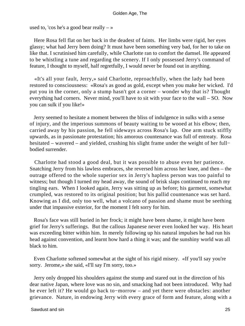used to, 'cos he's a good bear really  $-\infty$ 

 Here Rosa fell flat on her back in the deadest of faints. Her limbs were rigid, her eyes glassy; what had Jerry been doing? It must have been something very bad, for her to take on like that. I scrutinised him carefully, while Charlotte ran to comfort the damsel. He appeared to be whistling a tune and regarding the scenery. If I only possessed Jerry's command of feature, I thought to myself, half regretfully, I would never be found out in anything.

 «It's all your fault, Jerry,» said Charlotte, reproachfully, when the lady had been restored to consciousness: «Rosa's as good as gold, except when you make her wicked. I'd put you in the corner, only a stump hasn't got a corner – wonder why that is? Thought everything had corners. Never mind, you'll have to sit with your face to the wall – SO. Now you can sulk if you like!»

 Jerry seemed to hesitate a moment between the bliss of indulgence in sulks with a sense of injury, and the imperious summons of beauty waiting to be wooed at his elbow; then, carried away by his passion, he fell sideways across Rosa's lap. One arm stuck stiffly upwards, as in passionate protestation; his amorous countenance was full of entreaty. Rosa hesitated – wavered – and yielded, crushing his slight frame under the weight of her full− bodied surrender.

 Charlotte had stood a good deal, but it was possible to abuse even her patience. Snatching Jerry from his lawless embraces, she reversed him across her knee, and then – the outrage offered to the whole superior sex in Jerry's hapless person was too painful to witness; but though I turned my head away, the sound of brisk slaps continued to reach my tingling ears. When I looked again, Jerry was sitting up as before; his garment, somewhat crumpled, was restored to its original position; but his pallid countenance was set hard. Knowing as I did, only too well, what a volcano of passion and shame must be seething under that impassive exterior, for the moment I felt sorry for him.

 Rosa's face was still buried in her frock; it might have been shame, it might have been grief for Jerry's sufferings. But the callous Japanese never even looked her way. His heart was exceeding bitter within him. In merely following up his natural impulses he had run his head against convention, and learnt how hard a thing it was; and the sunshiny world was all black to him.

 Even Charlotte softened somewhat at the sight of his rigid misery. «If you'll say you're sorry. Jerome,» she said, «I'll say I'm sorry, too.»

 Jerry only dropped his shoulders against the stump and stared out in the direction of his dear native Japan, where love was no sin, and smacking had not been introduced. Why had he ever left it? He would go back to−morrow – and yet there were obstacles: another grievance. Nature, in endowing Jerry with every grace of form and feature, along with a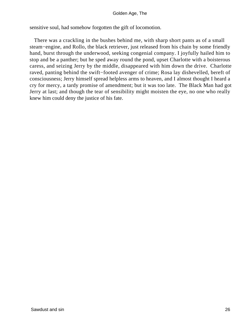sensitive soul, had somehow forgotten the gift of locomotion.

 There was a crackling in the bushes behind me, with sharp short pants as of a small steam−engine, and Rollo, the black retriever, just released from his chain by some friendly hand, burst through the underwood, seeking congenial company. I joyfully hailed him to stop and be a panther; but he sped away round the pond, upset Charlotte with a boisterous caress, and seizing Jerry by the middle, disappeared with him down the drive. Charlotte raved, panting behind the swift−footed avenger of crime; Rosa lay dishevelled, bereft of consciousness; Jerry himself spread helpless arms to heaven, and I almost thought I heard a cry for mercy, a tardy promise of amendment; but it was too late. The Black Man had got Jerry at last; and though the tear of sensibility might moisten the eye, no one who really knew him could deny the justice of his fate.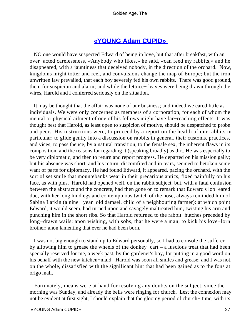## **[«YOUNG Adam CUPID»](#page-83-0)**

 NO one would have suspected Edward of being in love, but that after breakfast, with an over−acted carelessness, «Anybody who likes,» he said, «can feed my rabbits,» and he disappeared, with a jauntiness that deceived nobody, in the direction of the orchard. Now, kingdoms might totter and reel, and convulsions change the map of Europe; but the iron unwritten law prevailed, that each boy severely fed his own rabbits. There was good ground, then, for suspicion and alarm; and while the lettuce− leaves were being drawn through the wires, Harold and I conferred seriously on the situation.

 It may be thought that the affair was none of our business; and indeed we cared little as individuals. We were only concerned as members of a corporation, for each of whom the mental or physical ailment of one of his fellows might have far−reaching effects. It was thought best that Harold, as least open to suspicion of motive, should be despatched to probe and peer. His instructions were, to proceed by a report on the health of our rabbits in particular; to glide gently into a discussion on rabbits in general, their customs, practices, and vices; to pass thence, by a natural transition, to the female sex, the inherent flaws in its composition, and the reasons for regarding it (speaking broadly) as dirt. He was especially to be very diplomatic, and then to return and report progress. He departed on his mission gaily; but his absence was short, and his return, discomfited and in tears, seemed to betoken some want of parts for diplomacy. He had found Edward, it appeared, pacing the orchard, with the sort of set smile that mountebanks wear in their precarious antics, fixed painfully on his face, as with pins. Harold had opened well, on the rabbit subject, but, with a fatal confusion between the abstract and the concrete, had then gone on to remark that Edward's lop−eared doe, with her long hindlegs and contemptuous twitch of the nose, always reminded him of Sabina Larkin (a nine− year−old damsel, child of a neighbouring farmer): at which point Edward, it would seem, had turned upon and savagely maltreated him, twisting his arm and punching him in the short ribs. So that Harold returned to the rabbit−hutches preceded by long−drawn wails: anon wishing, with sobs, that he were a man, to kick his love−lorn brother: anon lamenting that ever he had been born.

 I was not big enough to stand up to Edward personally, so I had to console the sufferer by allowing him to grease the wheels of the donkey−cart – a luscious treat that had been specially reserved for me, a week past, by the gardener's boy, for putting in a good word on his behalf with the new kitchen−maid. Harold was soon all smiles and grease; and I was not, on the whole, dissatisfied with the significant hint that had been gained as to the fons at origo mali.

 Fortunately, means were at hand for resolving any doubts on the subject, since the morning was Sunday, and already the bells were ringing for church. Lest the connexion may not be evident at first sight, I should explain that the gloomy period of church− time, with its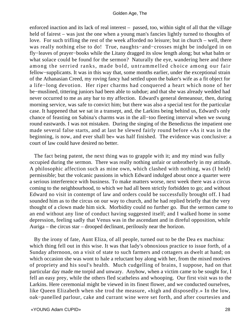enforced inaction and its lack of real interest – passed, too, within sight of all that the village held of fairest – was just the one when a young man's fancies lightly turned to thoughts of love. For such trifling the rest of the week afforded no leisure; but in church – well, there was really nothing else to do! True, naughts−and−crosses might be indulged in on fly−leaves of prayer−books while the Litany dragged its slow length along; but what balm or what solace could be found for the sermon? Naturally the eye, wandering here and there among the serried ranks, made bold, untrammelled choice among our fair fellow−supplicants. It was in this way that, some months earlier, under the exceptional strain of the Athanasian Creed, my roving fancy had settled upon the baker's wife as a fit object for a life−long devotion. Her riper charms had conquered a heart which none of her be−muslined, tittering juniors had been able to subdue; and that she was already wedded had never occurred to me as any bar to my affection. Edward's general demeanour, then, during morning service, was safe to convict him; but there was also a special test for the particular case. It happened that we sat in a transept, and, the Larkins being behind us, Edward's only chance of feasting on Sabina's charms was in the all−too fleeting interval when we swung round eastwards. I was not mistaken. During the singing of the Benedictus the impatient one made several false starts, and at last he slewed fairly round before «As it was in the beginning, is now, and ever shall be» was half finished. The evidence was conclusive: a court of law could have desired no better.

 The fact being patent, the next thing was to grapple with it; and my mind was fully occupied during the sermon. There was really nothing unfair or unbrotherly in my attitude. A philosophic affection such as mine own, which clashed with nothing, was (I held) permissible; but the volcanic passions in which Edward indulged about once a quarter were a serious interference with business. To make matters worse, next week there was a circus coming to the neighbourhood, to which we had all been strictly forbidden to go; and without Edward no visit in contempt of law and orders could be successfully brought off. I had sounded him as to the circus on our way to church, and he had replied briefly that the very thought of a clown made him sick. Morbidity could no further go. But the sermon came to an end without any line of conduct having suggested itself; and I walked home in some depression, feeling sadly that Venus was in the ascendant and in direful opposition, while Auriga – the circus star – drooped declinant, perilously near the horizon.

 By the irony of fate, Aunt Eliza, of all people, turned out to be the Dea ex machina: which thing fell out in this wise. It was that lady's obnoxious practice to issue forth, of a Sunday afternoon, on a visit of state to such farmers and cottagers as dwelt at hand; on which occasion she was wont to hale a reluctant boy along with her, from the mixed motives of propriety and his soul's health. Much cudgelling of brains, I suppose, had on that particular day made me torpid and unwary. Anyhow, when a victim came to be sought for, I fell an easy prey, while the others fled scatheless and whooping. Our first visit was to the Larkins. Here ceremonial might be viewed in its finest flower, and we conducted ourselves, like Queen Elizabeth when she trod the measure, «high and disposedly.» In the low, oak−panelled parlour, cake and currant wine were set forth, and after courtesies and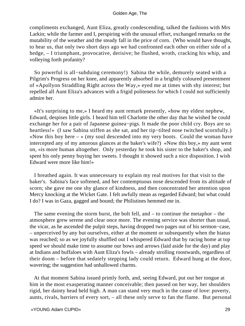compliments exchanged, Aunt Eliza, greatly condescending, talked the fashions with Mrs Larkin; while the farmer and I, perspiring with the unusual effort, exchanged remarks on the mutability of the weather and the steady fall in the price of corn. (Who would have thought, to hear us, that only two short days ago we had confronted each other on either side of a hedge, – I triumphant, provocative, derisive; he flushed, wroth, cracking his whip, and volleying forth profanity?

 So powerful is all−subduing ceremony!) Sabina the while, demurely seated with a Pilgrim's Progress on her knee, and apparently absorbed in a brightly coloured presentment of «Apollyon Straddling Right across the Way,» eyed me at times with shy interest; but repelled all Aunt Eliza's advances with a frigid politeness for which I could not sufficiently admire her.

 «It's surprising to me,» I heard my aunt remark presently, «how my eldest nephew, Edward, despises little girls. I heard him tell Charlotte the other day that he wished he could exchange her for a pair of Japanese guinea−pigs. It made the poor child cry. Boys are so heartless!» (I saw Sabina stiffen as she sat, and her tip−tilted nose twitched scornfully.) «Now this boy here  $-$  » (my soul descended into my very boots. Could the woman have intercepted any of my amorous glances at the baker's wife?) «Now this boy,» my aunt went on, «is more human altogether. Only yesterday he took his sister to the baker's shop, and spent his only penny buying her sweets. I thought it showed such a nice disposition. I wish Edward were more like him!»

 I breathed again. It was unnecessary to explain my real motives for that visit to the baker's. Sabina's face softened, and her contemptuous nose descended from its altitude of scorn; she gave me one shy glance of kindness, and then concentrated her attention upon Mercy knocking at the Wicket Gate. I felt awfully mean as regarded Edward; but what could I do? I was in Gaza, gagged and bound; the Philistines hemmed me in.

 The same evening the storm burst, the bolt fell, and – to continue the metaphor – the atmosphere grew serene and clear once more. The evening service was shorter than usual, the vicar, as he ascended the pulpit steps, having dropped two pages out of his sermon−case, – unperceived by any but ourselves, either at the moment or subsequently when the hiatus was reached; so as we joyfully shuffled out I whispered Edward that by racing home at top speed we should make time to assume our bows and arrows (laid aside for the day) and play at Indians and buffaloes with Aunt Eliza's fowls – already strolling roostwards, regardless of their doom – before that sedately stepping lady could return. Edward hung at the door, wavering; the suggestion had unhallowed charms.

 At that moment Sabina issued primly forth, and, seeing Edward, put out her tongue at him in the most exasperating manner conceivable; then passed on her way, her shoulders rigid, her dainty head held high. A man can stand very much in the cause of love: poverty, aunts, rivals, barriers of every sort, – all these only serve to fan the flame. But personal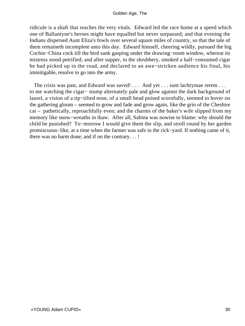ridicule is a shaft that reaches the very vitals. Edward led the race home at a speed which one of Ballantyne's heroes might have equalled but never surpassed; and that evening the Indians dispersed Aunt Eliza's fowls over several square miles of country, so that the tale of them remaineth incomplete unto this day. Edward himself, cheering wildly, pursued the big Cochin−China cock till the bird sank gasping under the drawing−room window, whereat its mistress stood petrified; and after supper, in the shrubbery, smoked a half−consumed cigar he had picked up in the road, and declared to an awe−stricken audience his final, his immitigable, resolve to go into the army.

The crisis was past, and Edward was saved! . . . And yet . . . sunt lachrymae rerem . . . to me watching the cigar− stump alternately pale and glow against the dark background of laurel, a vision of a tip−tilted nose, of a small head poised scornfully, seemed to hover on the gathering gloom – seemed to grow and fade and grow again, like the grin of the Cheshire cat – pathetically, reproachfully even; and the charms of the baker's wife slipped from my memory like snow−wreaths in thaw. After all, Sabina was nowise to blame: why should the child be punished? To−morrow I would give them the slip, and stroll round by her garden promiscuous−like, at a time when the farmer was safe in the rick−yard. If nothing came of it, there was no harm done; and if on the contrary. . . !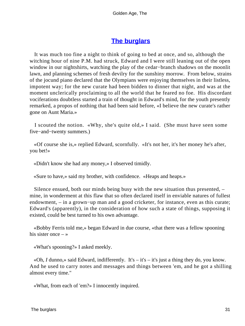## **[The burglars](#page-83-0)**

 It was much too fine a night to think of going to bed at once, and so, although the witching hour of nine P.M. had struck, Edward and I were still leaning out of the open window in our nightshirts, watching the play of the cedar−branch shadows on the moonlit lawn, and planning schemes of fresh devilry for the sunshiny morrow. From below, strains of the jocund piano declared that the Olympians were enjoying themselves in their listless, impotent way; for the new curate had been bidden to dinner that night, and was at the moment unclerically proclaiming to all the world that he feared no foe. His discordant vociferations doubtless started a train of thought in Edward's mind, for the youth presently remarked, a propos of nothing that had been said before, «I believe the new curate's rather gone on Aunt Maria.»

 I scouted the notion. «Why, she's quite old,» I said. (She must have seen some five−and−twenty summers.)

 «Of course she is,» replied Edward, scornfully. «It's not her, it's her money he's after, you bet!»

«Didn't know she had any money,» I observed timidly.

«Sure to have,» said my brother, with confidence. «Heaps and heaps.»

 Silence ensued, both our minds being busy with the new situation thus presented, – mine, in wonderment at this flaw that so often declared itself in enviable natures of fullest endowment, – in a grown−up man and a good cricketer, for instance, even as this curate; Edward's (apparently), in the consideration of how such a state of things, supposing it existed, could be best turned to his own advantage.

 «Bobby Ferris told me,» began Edward in due course, «that there was a fellow spooning his sister once  $-\infty$ 

«What's spooning?» I asked meekly.

 «Oh, *I* dunno,» said Edward, indifferently. It's – it's – it's just a thing they do, you know. And he used to carry notes and messages and things between 'em, and he got a shilling almost every time."

«What, from each of 'em?» I innocently inquired.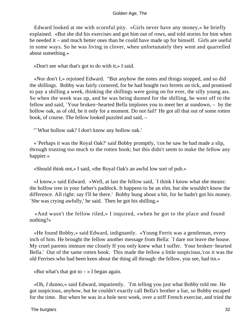Edward looked at me with scornful pity. «Girls never have any money,» he briefly explained. «But she did his exercises and got him out of rows, and told stories for him when he needed it – and much better ones than he could have made up for himself. Girls are useful in some ways. So he was living in clover, when unfortunately they went and quarrelled about something.»

«Don't see what that's got to do with it,» I said.

 «Nor don't I,» rejoined Edward. "But anyhow the notes and things stopped, and so did the shillings. Bobby was fairly cornered, for he had bought two ferrets on tick, and promised to pay a shilling a week, thinking the shillings were going on for ever, the silly young ass. So when the week was up, and he was being dunned for the shilling, he went off to the fellow and said, `Your broken−hearted Bella implores you to meet her at sundown, – by the hollow oak, as of old, be it only for a moment. Do not fail!' He got all that out of some rotten book, of course. The fellow looked puzzled and said, –

"`What hollow oak? I don't know any hollow oak.'

 «`Perhaps it was the Royal Oak?' said Bobby promptly, 'cos he saw he had made a slip, through trusting too much to the rotten book; but this didn't seem to make the fellow any happier.»

«Should think not,» I said, «the Royal Oak's an awful low sort of pub.»

 «I know,» said Edward. «Well, at last the fellow said, `I think I know what she means: the hollow tree in your father's paddock. It happens to be an elm, but she wouldn't know the difference. All right: say I'll be there.' Bobby hung about a bit, for he hadn't got his money. `She was crying awfully,' he said. Then he got his shilling.»

 «And wasn't the fellow riled,» I inquired, «when he got to the place and found nothing?»

 «He found Bobby,» said Edward, indignantly. «Young Ferris was a gentleman, every inch of him. He brought the fellow another message from Bella: `I dare not leave the house. My cruel parents immure me closely If you only knew what I suffer. Your broken−hearted Bella.' Out of the same rotten book. This made the fellow a little suspicious,'cos it was the old Ferrises who had been keen about the thing all through: the fellow, you see, had tin.»

«But what's that got to  $-\infty$  I began again.

 «Oh, *I* dunno,» said Edward, impatiently. `I'm telling you just what Bobby told me. He got suspicious, anyhow, but he couldn't exactly call Bella's brother a liar, so Bobby escaped for the time. But when he was in a hole next week, over a stiff French exercise, and tried the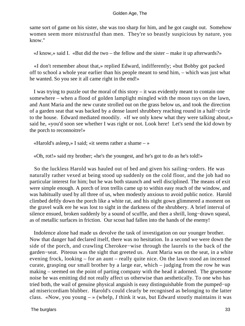same sort of game on his sister, she was too sharp for him, and he got caught out. Somehow women seem more mistrustful than men. They're so beastly suspicious by nature, you know."

«*I* know,» said I. «But did the two – the fellow and the sister – make it up afterwards?»

 «I don't remember about that,» replied Edward, indifferently; «but Bobby got packed off to school a whole year earlier than his people meant to send him, – which was just what he wanted. So you see it all came right in the end!»

 I was trying to puzzle out the moral of this story – it was evidently meant to contain one somewhere – when a flood of golden lamplight mingled with the moon rays on the lawn, and Aunt Maria and the new curate strolled out on the grass below us, and took the direction of a garden seat that was backed by a dense laurel shrubbery reaching round in a half−circle to the house. Edward mediated moodily. «If we only knew what they were talking about,» said he, «you'd soon see whether I was right or not. Look here! Let's send the kid down by the porch to reconnoitre!»

«Harold's asleep,» I said; «it seems rather a shame – »

«Oh, rot!» said my brother; «he's the youngest, and he's got to do as he's told!»

 So the luckless Harold was hauled out of bed and given his sailing−orders. He was naturally rather vexed at being stood up suddenly on the cold floor, and the job had no particular interest for him; but he was both staunch and well disciplined. The means of exit were simple enough. A porch of iron trellis came up to within easy reach of the window, and was habitually used by all three of us, when modestly anxious to avoid public notice. Harold climbed deftly down the porch like a white rat, and his night gown glimmered a moment on the gravel walk ere he was lost to sight in the darkness of the shrubbery. A brief interval of silence ensued, broken suddenly by a sound of scuffle, and then a shrill, long−drawn squeal, as of metallic surfaces in friction. Our scout had fallen into the hands of the enemy!

 Indolence alone had made us devolve the task of investigation on our younger brother. Now that danger had declared itself, there was no hesitation. In a second we were down the side of the porch, and crawling Cherokee−wise through the laurels to the back of the garden−seat. Piteous was the sight that greeted us. Aunt Maria was on the seat, in a white evening frock, looking – for an aunt – really quite nice. On the lawn stood an incensed curate, grasping our small brother by a large ear, which – judging from the row he was making – seemed on the point of parting company with the head it adorned. The gruesome noise he was emitting did not really affect us otherwise than aesthetically. To one who has tried both, the wail of genuine physical anguish is easy distinguishable from the pumped−up ad misericordiam blubber. Harold's could clearly be recognised as belonging to the latter class. «Now, you young – » (whelp, *I* think it was, but Edward stoutly maintains it was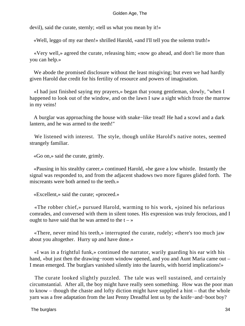devil), said the curate, sternly; «tell us what you mean by it!»

«Well, leggo of my ear then!» shrilled Harold, «and I'll tell you the solemn truth!»

 «Very well,» agreed the curate, releasing him; «now go ahead, and don't lie more than you can help.»

We abode the promised disclosure without the least misgiving; but even we had hardly given Harold due credit for his fertility of resource and powers of imagination.

 «I had just finished saying my prayers,» began that young gentleman, slowly, "when I happened to look out of the window, and on the lawn I saw a sight which froze the marrow in my veins!

 A burglar was approaching the house with snake−like tread! He had a scowl and a dark lantern, and he was armed to the teeth!"

 We listened with interest. The style, though unlike Harold's native notes, seemed strangely familiar.

«Go on,» said the curate, grimly.

 «Pausing in his stealthy career,» continued Harold, «he gave a low whistle. Instantly the signal was responded to, and from the adjacent shadows two more figures glided forth. The miscreants were both armed to the teeth.»

«Excellent,» said the curate; «proceed.»

 «The robber chief,» pursued Harold, warming to his work, «joined his nefarious comrades, and conversed with them in silent tones. His expression was truly ferocious, and I ought to have said that he was armed to the  $t - \infty$ 

 «There, never mind his teeth,» interrupted the curate, rudely; «there's too much jaw about you altogether. Hurry up and have done.»

 «I was in a frightful funk,» continued the narrator, warily guarding his ear with his hand, «but just then the drawing−room window opened, and you and Aunt Maria came out – I mean emerged. The burglars vanished silently into the laurels, with horrid implications!»

 The curate looked slightly puzzled. The tale was well sustained, and certainly circumstantial. After all, the boy might have really seen something. How was the poor man to know – though the chaste and lofty diction might have supplied a hint – that the whole yarn was a free adaptation from the last Penny Dreadful lent us by the knife−and−boot boy?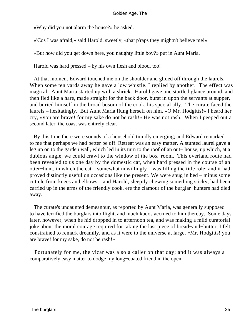«Why did you not alarm the house?» he asked.

«'Cos I was afraid,» said Harold, sweetly, «that p'raps they mightn't believe me!»

«But how did you get down here, you naughty little boy?» put in Aunt Maria.

Harold was hard pressed – by his own flesh and blood, too!

 At that moment Edward touched me on the shoulder and glided off through the laurels. When some ten yards away he gave a low whistle. I replied by another. The effect was magical. Aunt Maria started up with a shriek. Harold gave one startled glance around, and then fled like a hare, made straight for the back door, burst in upon the servants at supper, and buried himself in the broad bosom of the cook, his special ally. The curate faced the laurels – hesitatingly. But Aunt Maria flung herself on him. «O Mr. Hodgitts!» I heard her cry, «you are brave! for my sake do not be rash!» He was not rash. When I peeped out a second later, the coast was entirely clear.

 By this time there were sounds of a household timidly emerging; and Edward remarked to me that perhaps we had better be off. Retreat was an easy matter. A stunted laurel gave a leg up on to the garden wall, which led in its turn to the roof of an out− house, up which, at a dubious angle, we could crawl to the window of the box−room. This overland route had been revealed to us one day by the domestic cat, when hard pressed in the course of an otter−hunt, in which the cat – somewhat unwillingly – was filling the title role; and it had proved distinctly useful on occasions like the present. We were snug in bed – minus some cuticle from knees and elbows – and Harold, sleepily chewing something sticky, had been carried up in the arms of the friendly cook, ere the clamour of the burglar−hunters had died away.

 The curate's undaunted demeanour, as reported by Aunt Maria, was generally supposed to have terrified the burglars into flight, and much kudos accrued to him thereby. Some days later, however, when he hid dropped in to afternoon tea, and was making a mild curatorial joke about the moral courage required for taking the last piece of bread−and−butter, I felt constrained to remark dreamily, and as it were to the universe at large, «Mr. Hodgitts! you are brave! for my sake, do not be rash!»

 Fortunately for me, the vicar was also a caller on that day; and it was always a comparatively easy matter to dodge my long−coated friend in the open.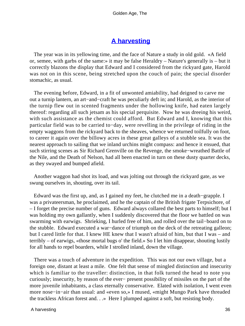# **[A harvesting](#page-83-0)**

 The year was in its yellowing time, and the face of Nature a study in old gold. «A field or, semee, with garbs of the same:» it may be false Heraldry – Nature's generally is – but it correctly blazons the display that Edward and I considered from the rickyard gate, Harold was not on in this scene, being stretched upon the couch of pain; the special disorder stomachic, as usual.

 The evening before, Edward, in a fit of unwonted amiability, had deigned to carve me out a turnip lantern, an art−and−craft he was peculiarly deft in; and Harold, as the interior of the turnip flew out in scented fragments under the hollowing knife, had eaten largely thereof: regarding all such jetsam as his special perquisite. Now he was dreeing his weird, with such assistance as the chemist could afford. But Edward and I, knowing that this particular field was to be carried to−day, were revelling in the privilege of riding in the empty waggons from the rickyard back to the sheaves, whence we returned toilfully on foot, to career it again over the billowy acres in these great galleys of a stubble sea. It was the nearest approach to sailing that we inland urchins might compass: and hence it ensued, that such stirring scenes as Sir Richard Grenville on the Revenge, the smoke−wreathed Battle of the Nile, and the Death of Nelson, had all been enacted in turn on these dusty quarter decks, as they swayed and bumped afield.

 Another waggon had shot its load, and was jolting out through the rickyard gate, as we swung ourselves in, shouting, over its tail.

 Edward was the first up, and, as I gained my feet, he clutched me in a death−grapple. I was a privateersman, he proclaimed, and he the captain of the British frigate Terpsichore, of – I forget the precise number of guns. Edward always collared the best parts to himself; but I was holding my own gallantly, when I suddenly discovered that the floor we battled on was swarming with earwigs. Shrieking, I hurled free of him, and rolled over the tail−board on to the stubble. Edward executed a war−dance of triumph on the deck of the retreating galleon; but I cared little for that. I knew HE knew that I wasn't afraid of him, but that I was – and terribly – of earwigs, «those mortal bugs o' the field.» So I let him disappear, shouting lustily for all hands to repel boarders, while I strolled inland, down the village.

 There was a touch of adventure in the expedition. This was not our own village, but a foreign one, distant at least a mile. One felt that sense of mingled distinction and insecurity which is familiar to the traveller: distinction, in that folk turned the head to note you curiously; insecurity, by reason of the ever− present possibility of missiles on the part of the more juvenile inhabitants, a class eternally conservative. Elated with isolation, I went even more nose−in−air than usual: and «even so,» I mused, «might Mungo Park have threaded the trackless African forest and. . .» Here I plumped against a soft, but resisting body.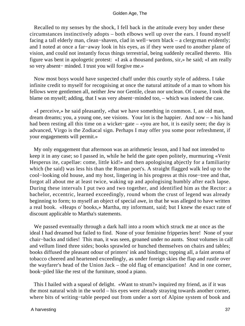Recalled to my senses by the shock, I fell back in the attitude every boy under these circumstances instinctively adopts – both elbows well up over the ears. I found myself facing a tall elderly man, clean−shaven, clad in well−worn black – a clergyman evidently; and I noted at once a far−away look in his eyes, as if they were used to another plane of vision, and could not instantly focus things terrestrial, being suddenly recalled thereto. His figure was bent in apologetic protest: «I ask a thousand pardons, sir,» he said; «I am really so very absent− minded. I trust you will forgive me.»

 Now most boys would have suspected chaff under this courtly style of address. I take infinite credit to myself for recognising at once the natural attitude of a man to whom his fellows were gentlemen all, neither Jew nor Gentile, clean nor unclean. Of course, I took the blame on myself; adding, that I was very absent−minded too, – which was indeed the case.

 «I perceive,» he said pleasantly, «that we have something in common. I, an old man, dream dreams; you, a young one, see visions. Your lot is the happier. And now – » his hand had been resting all this time on a wicket−gate – «you are hot, it is easily seen; the day is advanced, Virgo is the Zodiacal sign. Perhaps I may offer you some poor refreshment, if your engagements will permit.»

 My only engagement that afternoon was an arithmetic lesson, and I had not intended to keep it in any case; so I passed in, while he held the gate open politely, murmuring «Venit Hesperus ite, capellae: come, little kid!» and then apologising abjectly for a familiarity which (he said) was less his than the Roman poet's. A straight flagged walk led up to the cool−looking old house, and my host, lingering in his progress at this rose−tree and that, forgot all about me at least twice, waking up and apologising humbly after each lapse. During these intervals I put two and two together, and identified him as the Rector: a bachelor, eccentric, learned exceedingly, round whom the crust of legend was already beginning to form; to myself an object of special awe, in that he was alleged to have written a real book. «Heaps o' books,» Martha, my informant, said; but I knew the exact rate of discount applicable to Martha's statements.

 We passed eventually through a dark hall into a room which struck me at once as the ideal I had dreamed but failed to find. None of your feminine fripperies here! None of your chair−backs and tidies! This man, it was seen, groaned under no aunts. Stout volumes in calf and vellum lined three sides; books sprawled or hunched themselves on chairs and tables; books diffused the pleasant odour of printers' ink and bindings; topping all, a faint aroma of tobacco cheered and heartened exceedingly, as under foreign skies the flap and rustle over the wayfarer's head of the Union Jack – the old flag of emancipation! And in one corner, book−piled like the rest of the furniture, stood a piano.

 This I hailed with a squeal of delight. «Want to strum?» inquired my friend, as if it was the most natural wish in the world – his eyes were already straying towards another corner, where bits of writing−table peeped out from under a sort of Alpine system of book and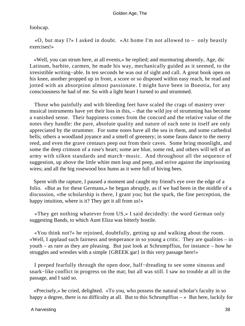foolscap.

 «O, but may I?» I asked in doubt. «At home I'm not allowed to – only beastly exercises!»

 «Well, you can strum here, at all events,» he replied; and murmuring absently, Age, dic Latinum, barbite, carmen, he made his way, mechanically guided as it seemed, to the irresistible writing−able. In ten seconds he was out of sight and call. A great book open on his knee, another propped up in front, a score or so disposed within easy reach, he read and jotted with an absorption almost passionate. I might have been in Boeotia, for any consciousness he had of me. So with a light heart I turned to and strummed.

 Those who painfully and with bleeding feet have scaled the crags of mastery over musical instruments have yet their loss in this, – that the wild joy of strumming has become a vanished sense. Their happiness comes from the concord and the relative value of the notes they handle: the pure, absolute quality and nature of each note in itself are only appreciated by the strummer. For some notes have all the sea in them, and some cathedral bells; others a woodland joyance and a smell of greenery; in some fauns dance to the merry reed, and even the grave centaurs peep out from their caves. Some bring moonlight, and some the deep crimson of a rose's heart; some are blue, some red, and others will tell of an army with silken standards and march−music. And throughout all the sequence of suggestion, up above the little white men leap and peep, and strive against the imprisoning wires; and all the big rosewood box hums as it were full of hiving bees.

 Spent with the rapture, I paused a moment and caught my friend's eye over the edge of a folio. «But as for these Germans,» he began abruptly, as if we had been in the middle of a discussion, «the scholarship is there, I grant you; but the spark, the fine perception, the happy intuition, where is it? They get it all from us!»

 «They get nothing whatever from US,» I said decidedly: the word German only suggesting Bands, to which Aunt Eliza was bitterly hostile.

 «You think not?» he rejoined, doubtfully, getting up and walking about the room. «Well, I applaud such fairness and temperance in so young a critic. They are qualities – in youth – as rare as they are pleasing. But just look at Schrumpffius, for instance – how he struggles and wrestles with a simple {GREEK gar} in this very passage here!»

 I peeped fearfully through the open door, half−dreading to see some sinuous and snark−like conflict in progress on the mat; but all was still. I saw no trouble at all in the passage, and I said so.

 «Precisely,» he cried, delighted. «To you, who possess the natural scholar's faculty in so happy a degree, there is no difficulty at all. But to this Schrumpffius  $-\infty$  But here, luckily for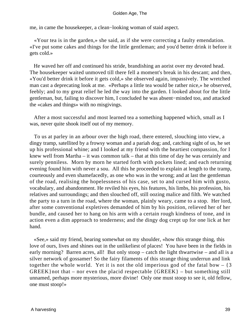me, in came the housekeeper, a clean−looking woman of staid aspect.

 «Your tea is in the garden,» she said, as if she were correcting a faulty emendation. «I've put some cakes and things for the little gentleman; and you'd better drink it before it gets cold.»

 He waved her off and continued his stride, brandishing an aorist over my devoted head. The housekeeper waited unmoved till there fell a moment's break in his descant; and then, «You'd better drink it before it gets cold,» she observed again, impassively. The wretched man cast a deprecating look at me. «Perhaps a little tea would be rather nice,» he observed, feebly; and to my great relief he led the way into the garden. I looked about for the little gentleman, but, failing to discover him, I concluded he was absent−minded too, and attacked the «cakes and things» with no misgivings.

 After a most successful and most learned tea a something happened which, small as I was, never quite shook itself out of my memory.

 To us at parley in an arbour over the high road, there entered, slouching into view, a dingy tramp, satellited by a frowsy woman and a pariah dog; and, catching sight of us, he set up his professional whine; and I looked at my friend with the heartiest compassion, for I knew well from Martha – it was common talk – that at this time of day he was certainly and surely penniless. Morn by morn he started forth with pockets lined; and each returning evening found him with never a sou. All this he proceeded to explain at length to the tramp, courteously and even shamefacedly, as one who was in the wrong; and at last the gentleman of the road, realising the hopelessness of his case, set to and cursed him with gusto, vocabulary, and abandonment. He reviled his eyes, his features, his limbs, his profession, his relatives and surroundings; and then slouched off, still oozing malice and filth. We watched the party to a turn in the road, where the woman, plainly weary, came to a stop. Her lord, after some conventional expletives demanded of him by his position, relieved her of her bundle, and caused her to hang on his arm with a certain rough kindness of tone, and in action even a dim approach to tenderness; and the dingy dog crept up for one lick at her hand.

 «See,» said my friend, bearing somewhat on my shoulder, «how this strange thing, this love of ours, lives and shines out in the unlikeliest of places! You have been in the fields in early morning? Barren acres, all! But only stoop – catch the light thwartwise – and all is a silver network of gossamer! So the fairy filaments of this strange thing underrun and link together the whole world. Yet it is not the old imperious god of the fatal bow  $-$  {3}  $GREEK$ } not that – nor even the placid respectable  ${GREEK}$  – but something still unnamed, perhaps more mysterious, more divine! Only one must stoop to see it, old fellow, one must stoop!»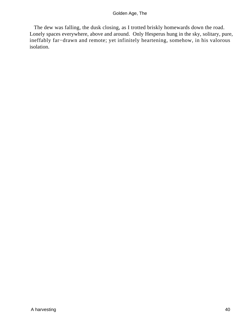The dew was falling, the dusk closing, as I trotted briskly homewards down the road. Lonely spaces everywhere, above and around. Only Hesperus hung in the sky, solitary, pure, ineffably far−drawn and remote; yet infinitely heartening, somehow, in his valorous isolation.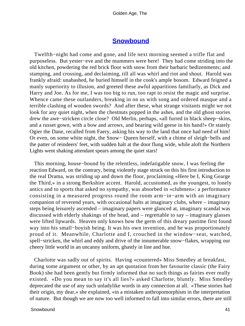# **[Snowbound](#page-83-0)**

 Twelfth−night had come and gone, and life next morning seemed a trifle flat and purposeless. But yester−eve and the mummers were here! They had come striding into the old kitchen, powdering the red brick floor with snow from their barbaric bedizenments; and stamping, and crossing, and declaiming, till all was whirl and riot and shout. Harold was frankly afraid: unabashed, he buried himself in the cook's ample bosom. Edward feigned a manly superiority to illusion, and greeted these awful apparitions familiarly, as Dick and Harry and Joe. As for me, I was too big to run, too rapt to resist the magic and surprise. Whence came these outlanders, breaking in on us with song and ordered masque and a terrible clashing of wooden swords? And after these, what strange visitants might we not look for any quiet night, when the chestnuts popped in the ashes, and the old ghost stories drew the awe−stricken circle close? Old Merlin, perhaps, «all furred in black sheep−skins, and a russet gown, with a bow and arrows, and bearing wild geese in his hand!» Or stately Ogier the Dane, recalled from Faery, asking his way to the land that once had need of him! Or even, on some white night, the Snow− Queen herself, with a chime of sleigh−bells and the patter of reindeers' feet, with sudden halt at the door flung wide, while aloft the Northern Lights went shaking attendant spears among the quiet stars!

 This morning, house−bound by the relentless, indefatigable snow, I was feeling the reaction Edward, on the contrary, being violently stage struck on this his first introduction to the real Drama, was striding up and down the floor, proclaiming «Here be I, King Gearge the Third,» in a strong Berkshire accent. Harold, accustomed, as the youngest, to lonely antics and to sports that asked no sympathy, was absorbed in «clubmen»: a performance consisting in a measured progress round the room arm−in−arm with an imaginary companion of reverend years, with occasional halts at imaginary clubs, where – imaginary steps being leisurely ascended – imaginary papers were glanced at, imaginary scandal was discussed with elderly shakings of the head, and – regrettable to say – imaginary glasses were lifted lipwards. Heaven only knows how the germ of this dreary pastime first found way into his small−boyish being. It was his own invention, and he was proportionately proud of it. Meanwhile, Charlotte and I, crouched in the window−seat, watched, spell−stricken, the whirl and eddy and drive of the innumerable snow−flakes, wrapping our cheery little world in an uncanny uniform, ghastly in line and hue.

 Charlotte was sadly out of spirits. Having «countered» Miss Smedley at breakfast, during some argument or other, by an apt quotation from her favourite classic (the Fairy Book) she had been gently but firmly informed that no such things as fairies ever really existed. «Do you mean to say it's all lies?» asked Charlotte, bluntly. Miss Smedley deprecated the use of any such unladylike words in any connection at all. «These stories had their origin, my dear,» she explained, «in a mistaken anthropomorphism in the interpretation of nature. But though we are now too well informed to fall into similar errors, there are still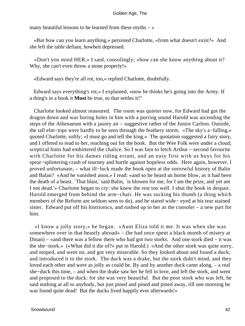many beautiful lessons to be learned from these myths  $-\infty$ 

 «But how can you learn anything,» persisted Charlotte, «from what doesn't exist?» And she left the table defiant, howbeit depressed.

 «Don't you mind HER,» I said, consolingly; «how can she know anything about it? Why, she can't even throw a stone properly!»

«Edward says they're all rot, too,» replied Charlotte, doubtfully.

 Edward says everything's rot,« I explained, »now he thinks he's going into the Army. If a thing's in a book it **Must** be true, so that settles it!"

 Charlotte looked almost reassured. The room was quieter now, for Edward had got the dragon down and was boring holes in him with a purring sound Harold was ascending the steps of the Athenaeum with a jaunty air – suggestive rather of the Junior Carlton. Outside, the tall elm−tops were hardly to be seen through the feathery storm. «The sky's a−falling,» quoted Charlotte, softly; «I must go and tell the king.» The quotation suggested a fairy story, and I offered to read to her, reaching out for the book. But the Wee Folk were under a cloud; sceptical hints had embittered the chalice. So I was fain to fetch Arthur – second favourite with Charlotte for his dames riding errant, and an easy first with us boys for his spear–splintering crash of tourney and hurtle against hopeless odds. Here again, however, I proved unfortunate, – what ill−luck made the book open at the sorrowful history of Balin and Balan? «And he vanished anon,» I read: «and so he heard an horne blow, as it had been the death of a beast. `That blast,' said Balin, `is blowen for me, for I am the prize, and yet am I not dead.'» Charlotte began to cry: she knew the rest too well. I shut the book in despair. Harold emerged from behind the arm−chair. He was sucking his thumb (a thing which members of the Reform are seldom seen to do), and he stared wide− eyed at his tear stained sister. Edward put off his histrionics, and rushed up to her as the consoler – a new part for him.

 «I know a jolly story,» he began. «Aunt Eliza told it me. It was when she was somewhere over in that beastly abroad» – (he had once spent a black month of misery at Dinan) – «and there was a fellow there who had got two storks. And one stork died – it was the she−stork.» («What did it die of?» put in Harold.) «And the other stork was quite sorry, and moped, and went on, and got very miserable. So they looked about and found a duck, and introduced it to the stork. The duck was a drake, but the stork didn't mind, and they loved each other and were as jolly as could be. By and by another duck came along, – a real she−duck this time, – and when the drake saw her he fell in love, and left the stork, and went and proposed to the duck: for she was very beautiful. But the poor stork who was left, he said nothing at all to anybody, but just pined and pined and pined away, till one morning he was found quite dead! But the ducks lived happily ever afterwards!»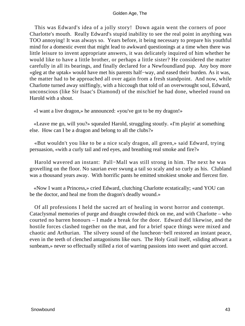This was Edward's idea of a jolly story! Down again went the corners of poor Charlotte's mouth. Really Edward's stupid inability to see the real point in anything was TOO annoying! It was always so. Years before, it being necessary to prepare his youthful mind for a domestic event that might lead to awkward questionings at a time when there was little leisure to invent appropriate answers, it was delicately inquired of him whether he would like to have a little brother, or perhaps a little sister? He considered the matter carefully in all its bearings, and finally declared for a Newfoundland pup. Any boy more «gleg at the uptak» would have met his parents half−way, and eased their burden. As it was, the matter had to be approached all over again from a fresh standpoint. And now, while Charlotte turned away sniffingly, with a hiccough that told of an overwrought soul, Edward, unconscious (like Sir Isaac's Diamond) of the mischief he had done, wheeled round on Harold with a shout.

«I want a live dragon,» he announced: «you've got to be my dragon!»

 «Leave me go, will you?» squealed Harold, struggling stoutly. «I'm playin' at something else. How can I be a dragon and belong to all the clubs?»

 «But wouldn't you like to be a nice scaly dragon, all green,» said Edward, trying persuasion, «with a curly tail and red eyes, and breathing real smoke and fire?»

 Harold wavered an instant: Pall−Mall was still strong in him. The next he was grovelling on the floor. No saurian ever swung a tail so scaly and so curly as his. Clubland was a thousand years away. With horrific pants he emitted smokiest smoke and fiercest fire.

 «Now I want a Princess,» cried Edward, clutching Charlotte ecstatically; «and YOU can be the doctor, and heal me from the dragon's deadly wound.»

 Of all professions I held the sacred art of healing in worst horror and contempt. Cataclysmal memories of purge and draught crowded thick on me, and with Charlotte – who courted no barren honours – I made a break for the door. Edward did likewise, and the hostile forces clashed together on the mat, and for a brief space things were mixed and chaotic and Arthurian. The silvery sound of the luncheon−bell restored an instant peace, even in the teeth of clenched antagonisms like ours. The Holy Grail itself, «sliding athwart a sunbeam,» never so effectually stilled a riot of warring passions into sweet and quiet accord.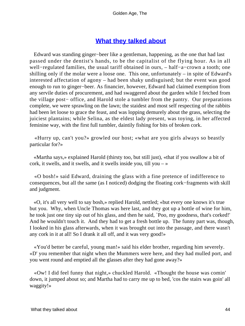# **[What they talked about](#page-83-0)**

 Edward was standing ginger−beer like a gentleman, happening, as the one that had last passed under the dentist's hands, to be the capitalist of the flying hour. As in all well−regulated families, the usual tariff obtained in ours, – half−a−crown a tooth; one shilling only if the molar were a loose one. This one, unfortunately – in spite of Edward's interested affectation of agony – had been shaky undisguised; but the event was good enough to run to ginger−beer. As financier, however, Edward had claimed exemption from any servile duties of procurement, and had swaggered about the garden while I fetched from the village post− office, and Harold stole a tumbler from the pantry. Our preparations complete, we were sprawling on the lawn; the staidest and most self respecting of the rabbits had been let loose to grace the feast, and was lopping demurely about the grass, selecting the juiciest plantains; while Selina, as the eldest lady present, was toying, in her affected feminine way, with the first full tumbler, daintily fishing for bits of broken cork.

 «Hurry up, can't you?» growled our host; «what are you girls always so beastly particular for?»

 «Martha says,» explained Harold (thirsty too, but still just), «that if you swallow a bit of cork, it swells, and it swells, and it swells inside you, till you  $-\infty$ 

 «O bosh!» said Edward, draining the glass with a fine pretence of indifference to consequences, but all the same (as I noticed) dodging the floating cork−fragments with skill and judgment.

 «O, it's all very well to say bosh,» replied Harold, nettled; «but every one knows it's true but you. Why, when Uncle Thomas was here last, and they got up a bottle of wine for him, he took just one tiny sip out of his glass, and then he said, `Poo, my goodness, that's corked!' And he wouldn't touch it. And they had to get a fresh bottle up. The funny part was, though, I looked in his glass afterwards, when it was brought out into the passage, and there wasn't any cork in it at all! So I drank it all off, and it was very good!»

 «You'd better be careful, young man!» said his elder brother, regarding him severely. «D' you remember that night when the Mummers were here, and they had mulled port, and you went round and emptied all the glasses after they had gone away?»

 «Ow! I did feel funny that night,» chuckled Harold. «Thought the house was comin' down, it jumped about so; and Martha had to carry me up to bed, 'cos the stairs was goin' all waggity!»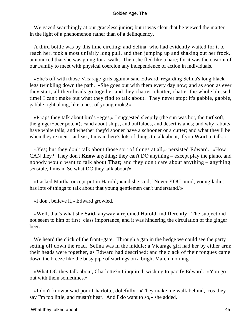We gazed searchingly at our graceless junior; but it was clear that he viewed the matter in the light of a phenomenon rather than of a delinquency.

 A third bottle was by this time circling; and Selina, who had evidently waited for it to reach her, took a most unfairly long pull, and then jumping up and shaking out her frock, announced that she was going for a walk. Then she fled like a hare; for it was the custom of our Family to meet with physical coercion any independence of action in individuals.

 «She's off with those Vicarage girls again,» said Edward, regarding Selina's long black legs twinkling down the path. «She goes out with them every day now; and as soon as ever they start, all their heads go together and they chatter, chatter, chatter the whole blessed time! I can't make out what they find to talk about. They never stop; it's gabble, gabble, gabble right along, like a nest of young rooks!»

 «P'raps they talk about birds'−eggs,» I suggested sleepily (the sun was hot, the turf soft, the ginger−beer potent); «and about ships, and buffaloes, and desert islands; and why rabbits have white tails; and whether they'd sooner have a schooner or a cutter; and what they'll be when they're men – at least, I mean there's lots of things to talk about, if you **Want** to talk.»

 «Yes; but they don't talk about those sort of things at all,» persisted Edward. «How CAN they? They don't **Know** anything; they can't DO anything – except play the piano, and nobody would want to talk about **That;** and they don't care about anything – anything sensible, I mean. So what DO they talk about?»

 «I asked Martha once,» put in Harold; «and she said, `Never YOU mind; young ladies has lots of things to talk about that young gentlemen can't understand.'»

«I don't believe it,» Edward growled.

 «Well, that's what she **Said,** anyway,» rejoined Harold, indifferently. The subject did not seem to him of first–class importance, and it was hindering the circulation of the ginger– beer.

 We heard the click of the front−gate. Through a gap in the hedge we could see the party setting off down the road. Selina was in the middle: a Vicarage girl had her by either arm; their heads were together, as Edward had described; and the clack of their tongues came down the breeze like the busy pipe of starlings on a bright March morning.

 «What DO they talk about, Charlotte?» I inquired, wishing to pacify Edward. «You go out with them sometimes.»

 «I don't know,» said poor Charlotte, dolefully. «They make me walk behind, 'cos they say I'm too little, and mustn't hear. And **I do** want to so,» she added.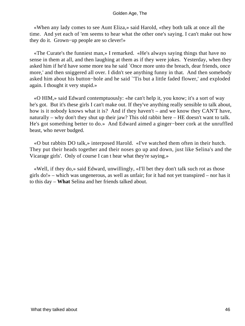«When any lady comes to see Aunt Eliza,» said Harold, «they both talk at once all the time. And yet each of 'em seems to hear what the other one's saying. I can't make out how they do it. Grown−up people are so clever!»

 «The Curate's the funniest man,» I remarked. «He's always saying things that have no sense in them at all, and then laughing at them as if they were jokes. Yesterday, when they asked him if he'd have some more tea he said `Once more unto the breach, dear friends, once more,' and then sniggered all over. I didn't see anything funny in that. And then somebody asked him about his button−hole and he said `'Tis but a little faded flower,' and exploded again. I thought it very stupid.»

 «O HIM,» said Edward contemptuously: «he can't help it, you know; it's a sort of way he's got. But it's these girls I can't make out. If they've anything really sensible to talk about, how is it nobody knows what it is? And if they haven't – and we know they CAN'T have, naturally – why don't they shut up their jaw? This old rabbit here – HE doesn't want to talk. He's got something better to do.» And Edward aimed a ginger−beer cork at the unruffled beast, who never budged.

 «O but rabbits DO talk,» interposed Harold. «I've watched them often in their hutch. They put their heads together and their noses go up and down, just like Selina's and the Vicarage girls'. Only of course I can t hear what they're saying.»

 «Well, if they do,» said Edward, unwillingly, «I'll bet they don't talk such rot as those girls do!» – which was ungenerous, as well as unfair; for it had not yet transpired – nor has it to this day – **What** Selina and her friends talked about.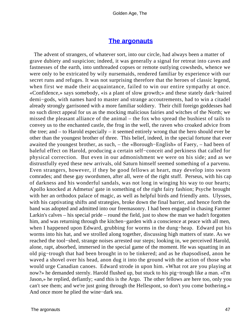# **[The argonauts](#page-83-0)**

 The advent of strangers, of whatever sort, into our circle, had always been a matter of grave dubiety and suspicion; indeed, it was generally a signal for retreat into caves and fastnesses of the earth, into unthreaded copses or remote outlying cowsheds, whence we were only to be extricated by wily nursemaids, rendered familiar by experience with our secret runs and refuges. It was not surprising therefore that the heroes of classic legend, when first we made their acquaintance, failed to win our entire sympathy at once. «Confidence,» says somebody, «is a plant of slow growth;» and these stately dark−haired demi−gods, with names hard to master and strange accoutrements, had to win a citadel already strongly garrisoned with a more familiar soldiery. Their chill foreign goddesses had no such direct appeal for us as the mocking malicious fairies and witches of the North; we missed the pleasant alliance of the animal – the fox who spread the bushiest of tails to convey us to the enchanted castle, the frog in the well, the raven who croaked advice from the tree; and – to Harold especially – it seemed entirely wrong that the hero should ever be other than the youngest brother of three. This belief, indeed, in the special fortune that ever awaited the youngest brother, as such, – the «Borough−English» of Faery, – had been of baleful effect on Harold, producing a certain self−conceit and perkiness that called for physical correction. But even in our admonishment we were on his side; and as we distrustfully eyed these new arrivals, old Saturn himself seemed something of a parvenu. Even strangers, however, if they be good fellows at heart, may develop into sworn comrades; and these gay swordsmen, after all, were of the right stuff. Perseus, with his cap of darkness and his wonderful sandals, was not long in winging his way to our hearts; Apollo knocked at Admetus' gate in something of the right fairy fashion; Psyche brought with her an orthodox palace of magic, as well as helpful birds and friendly ants. Ulysses, with his captivating shifts and strategies, broke down the final barrier, and hence forth the band was adopted and admitted into our freemasonry. I had been engaged in chasing Farmer Larkin's calves – his special pride – round the field, just to show the man we hadn't forgotten him, and was returning through the kitchen−garden with a conscience at peace with all men, when I happened upon Edward, grubbing for worms in the dung−heap. Edward put his worms into his hat, and we strolled along together, discussing high matters of state. As we reached the tool−shed, strange noises arrested our steps; looking in, we perceived Harold, alone, rapt, absorbed, immersed in the special game of the moment. He was squatting in an old pig−trough that had been brought in to be tinkered; and as he rhapsodised, anon he waved a shovel over his head, anon dug it into the ground with the action of those who would urge Canadian canoes. Edward strode in upon him. «What rot are you playing at now?» he demanded sternly. Harold flushed up, but stuck to his pig−trough like a man. «I'm Jason,» he replied, defiantly; «and this is the Argo. The other fellows are here too, only you can't see them; and we're just going through the Hellespont, so don't you come bothering.» And once more he plied the wine−dark sea.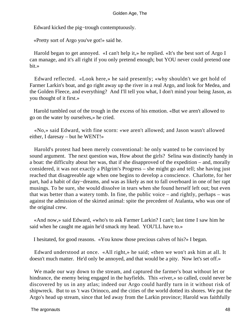Edward kicked the pig−trough contemptuously.

«Pretty sort of Argo you've got!» said he.

 Harold began to get annoyed. «I can't help it,» he replied. «It's the best sort of Argo I can manage, and it's all right if you only pretend enough; but YOU never could pretend one bit.»

 Edward reflected. «Look here,» he said presently; «why shouldn't we get hold of Farmer Larkin's boat, and go right away up the river in a real Argo, and look for Medea, and the Golden Fleece, and everything? And I'll tell you what, I don't mind your being Jason, as you thought of it first.»

 Harold tumbled out of the trough in the excess of his emotion. «But we aren't allowed to go on the water by ourselves,» he cried.

 «No,» said Edward, with fine scorn: «we aren't allowed; and Jason wasn't allowed either, I daresay – but he WENT!»

 Harold's protest had been merely conventional: he only wanted to be convinced by sound argument. The next question was, How about the girls? Selina was distinctly handy in a boat: the difficulty about her was, that if she disapproved of the expedition – and, morally considered, it was not exactly a Pilgrim's Progress – she might go and tell; she having just reached that disagreeable age when one begins to develop a conscience. Charlotte, for her part, had a habit of day−dreams, and was as likely as not to fall overboard in one of her rapt musings. To be sure, she would dissolve in tears when she found herself left out; but even that was better than a watery tomb. In fine, the public voice – and rightly, perhaps – was against the admission of the skirted animal: spite the precedent of Atalanta, who was one of the original crew.

 «And now,» said Edward, «who's to ask Farmer Larkin? I can't; last time I saw him he said when he caught me again he'd smack my head. YOU'LL have to.»

I hesitated, for good reasons. «You know those precious calves of his?» I began.

 Edward understood at once. «All right,» he said; «then we won't ask him at all. It doesn't much matter. He'd only be annoyed, and that would be a pity. Now let's set off.»

 We made our way down to the stream, and captured the farmer's boat without let or hindrance, the enemy being engaged in the hayfields. This «river,» so called, could never be discovered by us in any atlas; indeed our Argo could hardly turn in it without risk of shipwreck. But to us 't was Orinoco, and the cities of the world dotted its shores. We put the Argo's head up stream, since that led away from the Larkin province; Harold was faithfully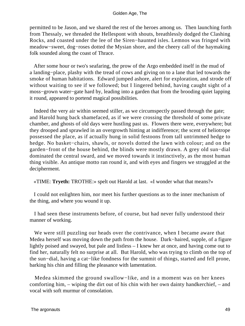permitted to be Jason, and we shared the rest of the heroes among us. Then launching forth from Thessaly, we threaded the Hellespont with shouts, breathlessly dodged the Clashing Rocks, and coasted under the lee of the Siren−haunted isles. Lemnos was fringed with meadow−sweet, dog−roses dotted the Mysian shore, and the cheery call of the haymaking folk sounded along the coast of Thrace.

 After some hour or two's seafaring, the prow of the Argo embedded itself in the mud of a landing−place, plashy with the tread of cows and giving on to a lane that led towards the smoke of human habitations. Edward jumped ashore, alert for exploration, and strode off without waiting to see if we followed; but I lingered behind, having caught sight of a moss−grown water−gate hard by, leading into a garden that from the brooding quiet lapping it round, appeared to portend magical possibilities.

 Indeed the very air within seemed stiller, as we circumspectly passed through the gate; and Harold hung back shamefaced, as if we were crossing the threshold of some private chamber, and ghosts of old days were hustling past us. Flowers there were, everywhere; but they drooped and sprawled in an overgrowth hinting at indifference; the scent of heliotrope possessed the place, as if actually hung in solid festoons from tall untrimmed hedge to hedge. No basket−chairs, shawls, or novels dotted the lawn with colour; and on the garden−front of the house behind, the blinds were mostly drawn. A grey old sun−dial dominated the central sward, and we moved towards it instinctively, as the most human thing visible. An antique motto ran round it, and with eyes and fingers we struggled at the decipherment.

«TIME: **Tryeth:** TROTHE:» spelt out Harold at last. «I wonder what that means?»

 I could not enlighten him, nor meet his further questions as to the inner mechanism of the thing, and where you wound it up.

 I had seen these instruments before, of course, but had never fully understood their manner of working.

 We were still puzzling our heads over the contrivance, when I became aware that Medea herself was moving down the path from the house. Dark−haired, supple, of a figure lightly poised and swayed, but pale and listless – I knew her at once, and having come out to find her, naturally felt no surprise at all. But Harold, who was trying to climb on the top of the sun−dial, having a cat−like fondness for the summit of things, started and fell prone, barking his chin and filling the pleasance with lamentation.

 Medea skimmed the ground swallow−like, and in a moment was on her knees comforting him, – wiping the dirt out of his chin with her own dainty handkerchief, – and vocal with soft murmur of consolation.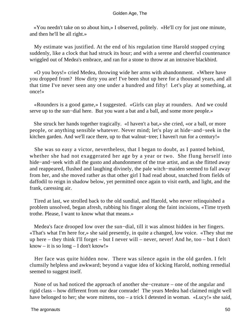«You needn't take on so about him,» I observed, politely. «He'll cry for just one minute, and then he'll be all right.»

 My estimate was justified. At the end of his regulation time Harold stopped crying suddenly, like a clock that had struck its hour; and with a serene and cheerful countenance wriggled out of Medea's embrace, and ran for a stone to throw at an intrusive blackbird.

 «O you boys!» cried Medea, throwing wide her arms with abandonment. «Where have you dropped from? How dirty you are! I've been shut up here for a thousand years, and all that time I've never seen any one under a hundred and fifty! Let's play at something, at once!»

 «Rounders is a good game,» I suggested. «Girls can play at rounders. And we could serve up to the sun−dial here. But you want a bat and a ball, and some more people.»

 She struck her hands together tragically. «I haven't a bat,» she cried, «or a ball, or more people, or anything sensible whatever. Never mind; let's play at hide−and−seek in the kitchen garden. And we'll race there, up to that walnut−tree; I haven't run for a century!»

 She was so easy a victor, nevertheless, that I began to doubt, as I panted behind, whether she had not exaggerated her age by a year or two. She flung herself into hide−and−seek with all the gusto and abandonment of the true artist, and as she flitted away and reappeared, flushed and laughing divinely, the pale witch−maiden seemed to fall away from her, and she moved rather as that other girl I had read about, snatched from fields of daffodil to reign in shadow below, yet permitted once again to visit earth, and light, and the frank, caressing air.

 Tired at last, we strolled back to the old sundial, and Harold, who never relinquished a problem unsolved, began afresh, rubbing his finger along the faint incisions, «Time tryeth trothe. Please, I want to know what that means.»

 Medea's face drooped low over the sun−dial, till it was almost hidden in her fingers. «That's what I'm here for,» she said presently, in quite a changed, low voice. «They shut me up here – they think I'll forget – but I never will – never, never! And he, too – but I don't know – it is so long – I don't know!»

 Her face was quite hidden now. There was silence again in the old garden. I felt clumsily helpless and awkward; beyond a vague idea of kicking Harold, nothing remedial seemed to suggest itself.

 None of us had noticed the approach of another she−creature – one of the angular and rigid class – how different from our dear comrade! The years Medea had claimed might well have belonged to her; she wore mittens, too – a trick I detested in woman. «Lucy!» she said,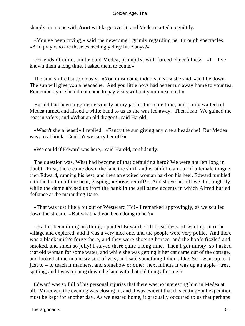sharply, in a tone with **Aunt** writ large over it; and Medea started up guiltily.

 «You've been crying,» said the newcomer, grimly regarding her through spectacles. «And pray who are these exceedingly dirty little boys?»

 «Friends of mine, aunt,» said Medea, promptly, with forced cheerfulness. «I – I've known them a long time. I asked them to come.»

 The aunt sniffed suspiciously. «You must come indoors, dear,» she said, «and lie down. The sun will give you a headache. And you little boys had better run away home to your tea. Remember, you should not come to pay visits without your nursemaid.»

 Harold had been tugging nervously at my jacket for some time, and I only waited till Medea turned and kissed a white hand to us as she was led away. Then I ran. We gained the boat in safety; and «What an old dragon!» said Harold.

 «Wasn't she a beast!» I replied. «Fancy the sun giving any one a headache! But Medea was a real brick. Couldn't we carry her off?»

«We could if Edward was here,» said Harold, confidently.

 The question was, What had become of that defaulting hero? We were not left long in doubt. First, there came down the lane the shrill and wrathful clamour of a female tongue, then Edward, running his best, and then an excited woman hard on his heel. Edward tumbled into the bottom of the boat, gasping, «Shove her off!» And shove her off we did, mightily, while the dame abused us from the bank in the self same accents in which Alfred hurled defiance at the marauding Dane.

 «That was just like a bit out of Westward Ho!» I remarked approvingly, as we sculled down the stream. «But what had you been doing to her?»

 «Hadn't been doing anything,» panted Edward, still breathless. «I went up into the village and explored, and it was a very nice one, and the people were very polite. And there was a blacksmith's forge there, and they were shoeing horses, and the hoofs fizzled and smoked, and smelt so jolly! I stayed there quite a long time. Then I got thirsty, so I asked that old woman for some water, and while she was getting it her cat came out of the cottage, and looked at me in a nasty sort of way, and said something I didn't like. So I went up to it just to – to teach it manners, and somehow or other, next minute it was up an apple− tree, spitting, and I was running down the lane with that old thing after me.»

 Edward was so full of his personal injuries that there was no interesting him in Medea at all. Moreover, the evening was closing in, and it was evident that this cutting−out expedition must be kept for another day. As we neared home, it gradually occurred to us that perhaps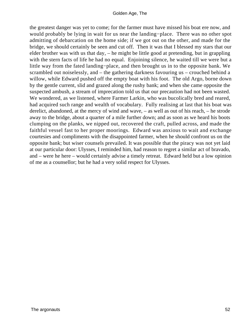the greatest danger was yet to come; for the farmer must have missed his boat ere now, and would probably be lying in wait for us near the landing−place. There was no other spot admitting of debarcation on the home side; if we got out on the other, and made for the bridge, we should certainly be seen and cut off. Then it was that I blessed my stars that our elder brother was with us that day, – he might be little good at pretending, but in grappling with the stern facts of life he had no equal. Enjoining silence, he waited till we were but a little way from the fated landing−place, and then brought us in to the opposite bank. We scrambled out noiselessly, and – the gathering darkness favouring us – crouched behind a willow, while Edward pushed off the empty boat with his foot. The old Argo, borne down by the gentle current, slid and grazed along the rushy bank; and when she came opposite the suspected ambush, a stream of imprecation told us that our precaution had not been wasted. We wondered, as we listened, where Farmer Larkin, who was bucolically bred and reared, had acquired such range and wealth of vocabulary. Fully realising at last that his boat was derelict, abandoned, at the mercy of wind and wave, – as well as out of his reach, – he strode away to the bridge, about a quarter of a mile further down; and as soon as we heard his boots clumping on the planks, we nipped out, recovered the craft, pulled across, and made the faithful vessel fast to her proper moorings. Edward was anxious to wait and exchange courtesies and compliments with the disappointed farmer, when he should confront us on the opposite bank; but wiser counsels prevailed. It was possible that the piracy was not yet laid at our particular door: Ulysses, I reminded him, had reason to regret a similar act of bravado, and – were he here – would certainly advise a timely retreat. Edward held but a low opinion of me as a counsellor; but he had a very solid respect for Ulysses.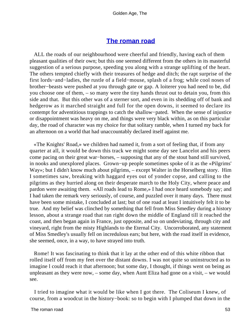# **[The roman road](#page-83-0)**

 ALL the roads of our neighbourhood were cheerful and friendly, having each of them pleasant qualities of their own; but this one seemed different from the others in its masterful suggestion of a serious purpose, speeding you along with a strange uplifting of the heart. The others tempted chiefly with their treasures of hedge and ditch; the rapt surprise of the first lords−and−ladies, the rustle of a field−mouse, splash of a frog; while cool noses of brother−beasts were pushed at you through gate or gap. A loiterer you had need to be, did you choose one of them, – so many were the tiny hands thrust out to detain you, from this side and that. But this other was of a sterner sort, and even in its shedding off of bank and hedgerow as it marched straight and full for the open downs, it seemed to declare its contempt for adventitious trappings to catch the shallow−pated. When the sense of injustice or disappointment was heavy on me, and things were very black within, as on this particular day, the road of character was my choice for that solitary ramble, when I turned my back for an afternoon on a world that had unaccountably declared itself against me.

 «The Knights' Road,» we children had named it, from a sort of feeling that, if from any quarter at all, it would be down this track we might some day see Lancelot and his peers come pacing on their great war−horses, – supposing that any of the stout band still survived, in nooks and unexplored places. Grown−up people sometimes spoke of it as the «Pilgrims' Way»; but I didn't know much about pilgrims, – except Walter in the Horselberg story. Him I sometimes saw, breaking with haggard eyes out of yonder copse, and calling to the pilgrims as they hurried along on their desperate march to the Holy City, where peace and pardon were awaiting them. «All roads lead to Rome,» I had once heard somebody say; and I had taken the remark very seriously, of course, and puzzled over it many days. There must have been some mistake, I concluded at last; but of one road at least I intuitively felt it to be true. And my belief was clinched by something that fell from Miss Smedley during a history lesson, about a strange road that ran right down the middle of England till it reached the coast, and then began again in France, just opposite, and so on undeviating, through city and vineyard, right from the misty Highlands to the Eternal City. Uncorroborated, any statement of Miss Smedley's usually fell on incredulous ears; but here, with the road itself in evidence, she seemed, once, in a way, to have strayed into truth.

 Rome! It was fascinating to think that it lay at the other end of this white ribbon that rolled itself off from my feet over the distant downs. I was not quite so uninstructed as to imagine l could reach it that afternoon; but some day, I thought, if things went on being as unpleasant as they were now, – some day, when Aunt Eliza had gone on a visit, – we would see.

 I tried to imagine what it would be like when I got there. The Coliseum I knew, of course, from a woodcut in the history−book: so to begin with I plumped that down in the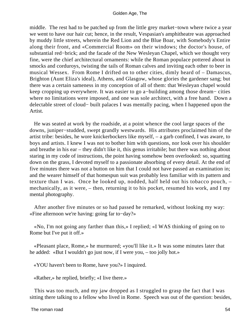middle. The rest had to be patched up from the little grey market−town where twice a year we went to have our hair cut; hence, in the result, Vespasian's amphitheatre was approached by muddy little streets, wherein the Red Lion and the Blue Boar, with Somebody's Entire along their front, and «Commercial Room» on their windows; the doctor's house, of substantial red−brick; and the facade of the New Wesleyan Chapel, which we thought very fine, were the chief architectural ornaments: while the Roman populace pottered about in smocks and corduroys, twisting the tails of Roman calves and inviting each other to beer in musical Wessex. From Rome I drifted on to other cities, dimly heard of – Damascus, Brighton (Aunt Eliza's ideal), Athens, and Glasgow, whose glories the gardener sang; but there was a certain sameness in my conception of all of them: that Wesleyan chapel would keep cropping up everywhere. It was easier to go a−building among those dream− cities where no limitations were imposed, and one was sole architect, with a free hand. Down a delectable street of cloud− built palaces I was mentally pacing, when I happened upon the Artist.

 He was seated at work by the roadside, at a point whence the cool large spaces of the downs, juniper−studded, swept grandly westwards. His attributes proclaimed him of the artist tribe: besides, he wore knickerbockers like myself, – a garb confined, I was aware, to boys and artists. I knew I was not to bother him with questions, nor look over his shoulder and breathe in his ear – they didn't like it, this genus irritabile; but there was nothing about staring in my code of instructions, the point having somehow been overlooked: so, squatting down on the grass, I devoted myself to a passionate absorbing of every detail. At the end of five minutes there was not a button on him that I could not have passed an examination in; and the wearer himself of that homespun suit was probably less familiar with its pattern and texture than I was. Once he looked up, nodded, half held out his tobacco pouch, – mechanically, as it were, – then, returning it to his pocket, resumed his work, and I my mental photography.

 After another five minutes or so had passed he remarked, without looking my way: «Fine afternoon we're having: going far to−day?»

 «No, I'm not going any farther than this,» I replied; «I WAS thinking of going on to Rome but I've put it off.»

 «Pleasant place, Rome,» he murmured; «you'll like it.» It was some minutes later that he added: «But I wouldn't go just now, if I were you, – too jolly hot.»

«YOU haven't been to Rome, have you?» I inquired.

«Rather,» he replied, briefly; «I live there.»

 This was too much, and my jaw dropped as I struggled to grasp the fact that I was sitting there talking to a fellow who lived in Rome. Speech was out of the question: besides,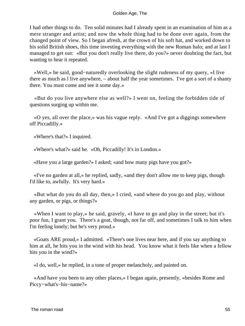I had other things to do. Ten solid minutes had I already spent in an examination of him as a mere stranger and artist; and now the whole thing had to be done over again, from the changed point of view. So I began afresh, at the crown of his soft hat, and worked down to his solid British shoes, this time investing everything with the new Roman halo; and at last I managed to get out: «But you don't really live there, do you?» never doubting the fact, but wanting to hear it repeated.

 «Well,» he said, good−naturedly overlooking the slight rudeness of my query, «I live there as much as l live anywhere, – about half the year sometimes. I've got a sort of a shanty there. You must come and see it some day.»

 «But do you live anywhere else as well?» I went on, feeling the forbidden tide of questions surging up within me.

 «O yes, all over the place,» was his vague reply. «And I've got a diggings somewhere off Piccadilly.»

«Where's that?» I inquired.

«Where's what?» said he. «Oh, Piccadilly! It's in London.»

«Have you a large garden?» I asked; «and how many pigs have you got?»

 «I've no garden at all,» he replied, sadly, «and they don't allow me to keep pigs, though I'd like to, awfully. It's very hard.»

 «But what do you do all day, then,» I cried, «and where do you go and play, without any garden, or pigs, or things?»

 «When I want to play,» he said, gravely, «I have to go and play in the street; but it's poor fun, I grant you. There's a goat, though, not far off, and sometimes I talk to him when I'm feeling lonely; but he's very proud.»

 «Goats ARE proud,» I admitted. «There's one lives near here, and if you say anything to him at all, he hits you in the wind with his head. You know what it feels like when a fellow hits you in the wind?»

«I do, well,» he replied, in a tone of proper melancholy, and painted on.

 «And have you been to any other places,» I began again, presently, «besides Rome and Piccy−what's−his−name?»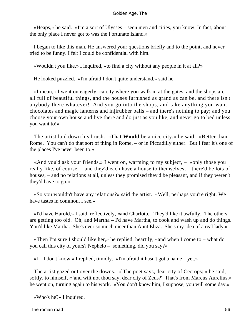«Heaps,» he said. «I'm a sort of Ulysses – seen men and cities, you know. In fact, about the only place I never got to was the Fortunate Island.»

 I began to like this man. He answered your questions briefly and to the point, and never tried to be funny. I felt I could be confidential with him.

«Wouldn't you like,» I inquired, «to find a city without any people in it at all?»

He looked puzzled. «I'm afraid I don't quite understand,» said he.

 «I mean,» I went on eagerly, «a city where you walk in at the gates, and the shops are all full of beautiful things, and the houses furnished as grand as can be, and there isn't anybody there whatever! And you go into the shops, and take anything you want – chocolates and magic lanterns and injirubber balls – and there's nothing to pay; and you choose your own house and live there and do just as you like, and never go to bed unless you want to!»

 The artist laid down his brush. «That **Would** be a nice city,» he said. «Better than Rome. You can't do that sort of thing in Rome, – or in Piccadilly either. But I fear it's one of the places I've never been to.»

 «And you'd ask your friends,» I went on, warming to my subject, – «only those you really like, of course, – and they'd each have a house to themselves, – there'd be lots of houses, – and no relations at all, unless they promised they'd be pleasant, and if they weren't they'd have to go.»

 «So you wouldn't have any relations?» said the artist. «Well, perhaps you're right. We have tastes in common, I see.»

 «I'd have Harold,» I said, reflectively, «and Charlotte. They'd like it awfully. The others are getting too old. Oh, and Martha – I'd have Martha, to cook and wash up and do things. You'd like Martha. She's ever so much nicer than Aunt Eliza. She's my idea of a real lady.»

 «Then I'm sure I should like her,» he replied, heartily, «and when I come to – what do you call this city of yours? Nephelo – something, did you say?»

 $\ll$ I – I don't know,» I replied, timidly.  $\ll$ I'm afraid it hasn't got a name – yet.»

 The artist gazed out over the downs. «`The poet says, dear city of Cecrops;'» he said, softly, to himself, «`and wilt not thou say, dear city of Zeus?' That's from Marcus Aurelius,» he went on, turning again to his work. «You don't know him, I suppose; you will some day.»

«Who's he?» I inquired.

The roman road 56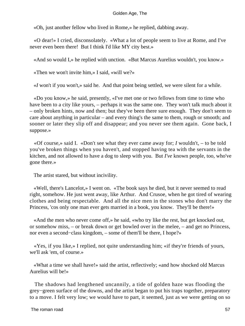«Oh, just another fellow who lived in Rome,» he replied, dabbing away.

 «O dear!» I cried, disconsolately. «What a lot of people seem to live at Rome, and I've never even been there! But I think I'd like MY city best.»

«And so would I,» he replied with unction. «But Marcus Aurelius wouldn't, you know.»

«Then we won't invite him,» I said, «will we?»

«*I* won't if you won't,» said he. And that point being settled, we were silent for a while.

 «Do you know,» he said, presently, «I've met one or two fellows from time to time who have been to a city like yours, – perhaps it was the same one. They won't talk much about it – only broken hints, now and then; but they've been there sure enough. They don't seem to care about anything in particular – and every thing's the same to them, rough or smooth; and sooner or later they slip off and disappear; and you never see them again. Gone back, I suppose.»

 «Of course,» said I. «Don't see what they ever came away for; *I* wouldn't, – to be told you've broken things when you haven't, and stopped having tea with the servants in the kitchen, and not allowed to have a dog to sleep with you. But *I've* known people, too, who've gone there.»

The artist stared, but without incivility.

 «Well, there's Lancelot,» I went on. «The book says he died, but it never seemed to read right, somehow. He just went away, like Arthur. And Crusoe, when he got tired of wearing clothes and being respectable. And all the nice men in the stones who don't marry the Princess, 'cos only one man ever gets married in a book, you know. They'll be there!»

 «And the men who never come off,» he said, «who try like the rest, but get knocked out, or somehow miss, – or break down or get bowled over in the melee, – and get no Princess, nor even a second−class kingdom, – some of them'll be there, I hope?»

 «Yes, if you like,» I replied, not quite understanding him; «if they're friends of yours, we'll ask 'em, of course.»

 «What a time we shall have!» said the artist, reflectively; «and how shocked old Marcus Aurelius will be!»

 The shadows had lengthened uncannily, a tide of golden haze was flooding the grey−green surface of the downs, and the artist began to put his traps together, preparatory to a move. I felt very low; we would have to part, it seemed, just as we were getting on so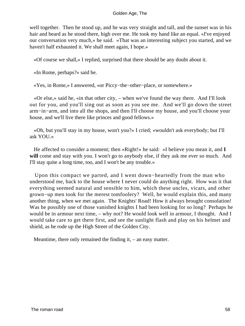well together. Then he stood up, and he was very straight and tall, and the sunset was in his hair and beard as he stood there, high over me. He took my hand like an equal. «I've enjoyed our conversation very much,» he said. «That was an interesting subject you started, and we haven't half exhausted it. We shall meet again, I hope.»

«Of course we shall,» I replied, surprised that there should be any doubt about it.

«In Rome, perhaps?» said he.

«Yes, in Rome,» I answered, «or Piccy−the−other−place, or somewhere.»

 «Or else,» said he, «in that other city, – when we've found the way there. And I'll look out for you, and you'll sing out as soon as you see me. And we'll go down the street arm−in−arm, and into all the shops, and then I'll choose my house, and you'll choose your house, and we'll live there like princes and good fellows.»

 «Oh, but you'll stay in my house, won't you?» I cried; «wouldn't ask everybody; but I'll ask YOU.»

 He affected to consider a moment; then «Right!» he said: «I believe you mean it, and **I will** come and stay with you. I won't go to anybody else, if they ask me ever so much. And I'll stay quite a long time, too, and I won't be any trouble.»

 Upon this compact we parted, and I went down−heartedly from the man who understood me, back to the house where I never could do anything right. How was it that everything seemed natural and sensible to him, which these uncles, vicars, and other grown−up men took for the merest tomfoolery? Well, he would explain this, and many another thing, when we met again. The Knights' Road! How it always brought consolation! Was he possibly one of those vanished knights I had been looking for so long? Perhaps he would be in armour next time, – why not? He would look well in armour, I thought. And I would take care to get there first, and see the sunlight flash and play on his helmet and shield, as he rode up the High Street of the Golden City.

Meantime, there only remained the finding it, – an easy matter.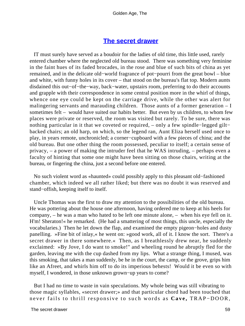# **[The secret drawer](#page-83-0)**

 IT must surely have served as a boudoir for the ladies of old time, this little used, rarely entered chamber where the neglected old bureau stood. There was something very feminine in the faint hues of its faded brocades, in the rose and blue of such bits of china as yet remained, and in the delicate old−world fragrance of pot−pourri from the great bowl – blue and white, with funny holes in its cover – that stood on the bureau's flat top. Modern aunts disdained this out−of−the−way, back−water, upstairs room, preferring to do their accounts and grapple with their correspondence in some central position more in the whirl of things, whence one eye could be kept on the carriage drive, while the other was alert for malingering servants and marauding children. Those aunts of a former generation – I sometimes felt – would have suited our habits better. But even by us children, to whom few places were private or reserved, the room was visited but rarely. To be sure, there was nothing particular in it that we coveted or required, – only a few spindle−legged gilt− backed chairs; an old harp, on which, so the legend ran, Aunt Eliza herself used once to play, in years remote, unchronicled; a corner−cupboard with a few pieces of china; and the old bureau. But one other thing the room possessed, peculiar to itself; a certain sense of privacy, – a power of making the intruder feel that he WAS intruding, – perhaps even a faculty of hinting that some one might have been sitting on those chairs, writing at the bureau, or fingering the china, just a second before one entered.

 No such violent word as «haunted» could possibly apply to this pleasant old−fashioned chamber, which indeed we all rather liked; but there was no doubt it was reserved and stand−offish, keeping itself to itself.

 Uncle Thomas was the first to draw my attention to the possibilities of the old bureau. He was pottering about the house one afternoon, having ordered me to keep at his heels for company, – he was a man who hated to be left one minute alone, – when his eye fell on it. H'm! Sheraton!« he remarked. (He had a smattering of most things, this uncle, especially the vocabularies.) Then he let down the flap, and examined the empty pigeon−holes and dusty panelling. »Fine bit of inlay,« he went on: »good work, all of it. I know the sort. There's a secret drawer in there somewhere.« Then, as I breathlessly drew near, he suddenly exclaimed: »By Jove, I do want to smoke!" and wheeling round he abruptly fled for the garden, leaving me with the cup dashed from my lips. What a strange thing, I mused, was this smoking, that takes a man suddenly, be he in the court, the camp, or the grove, grips him like an Afreet, and whirls him off to do its imperious behests! Would it be even so with myself, I wondered, in those unknown grown−up years to come?

 But I had no time to waste in vain speculations. My whole being was still vibrating to those magic syllables, «secret drawer;» and that particular chord had been touched that never fails to thrill responsive to such words as **Cave,** TRAP−DOOR,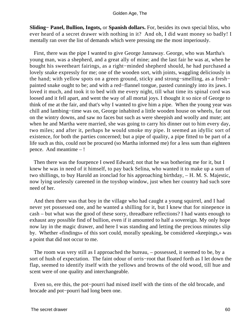**Sliding− Panel, Bullion, Ingots,** or **Spanish dollars.** For, besides its own special bliss, who ever heard of a secret drawer with nothing in it? And oh, I did want money so badly! I mentally ran over the list of demands which were pressing me the most imperiously.

 First, there was the pipe I wanted to give George Jannaway. George, who was Martha's young man, was a shepherd, and a great ally of mine; and the last fair he was at, when he bought his sweetheart fairings, as a right−minded shepherd should, he had purchased a lovely snake expressly for me; one of the wooden sort, with joints, waggling deliciously in the hand; with yellow spots on a green ground, sticky and strong−smelling, as a fresh− painted snake ought to be; and with a red−flannel tongue, pasted cunningly into its jaws. I loved it much, and took it to bed with me every night, till what time its spinal cord was loosed and it fell apart, and went the way of all mortal joys. I thought it so nice of George to think of me at the fair, and that's why I wanted to give him a pipe. When the young year was chill and lambing−time was on, George inhabited a little wooden house on wheels, far out on the wintry downs, and saw no faces but such as were sheepish and woolly and mute; ant when he and Martha were married, she was going to carry his dinner out to him every day, two miles; and after it, perhaps he would smoke my pipe. It seemed an idyllic sort of existence, for both the parties concerned; but a pipe of quality, a pipe fitted to be part of a life such as this, could not be procured (so Martha informed me) for a less sum than eighteen pence. And meantime – !

 Then there was the fourpence I owed Edward; not that he was bothering me for it, but I knew he was in need of it himself, to pay back Selina, who wanted it to make up a sum of two shillings, to buy Harold an ironclad for his approaching birthday, – H. M. S. Majestic, now lying uselessly careened in the toyshop window, just when her country had such sore need of her.

 And then there was that boy in the village who had caught a young squirrel, and I had never yet possessed one, and he wanted a shilling for it, but I knew that for ninepence in cash – but what was the good of these sorry, threadbare reflections? I had wants enough to exhaust any possible find of bullion, even if it amounted to half a sovereign. My only hope now lay in the magic drawer, and here I was standing and letting the precious minutes slip by. Whether «findings» of this sort could, morally speaking, be considered «keepings,» was a point that did not occur to me.

 The room was very still as I approached the bureau, – possessed, it seemed to be, by a sort of hush of expectation. The faint odour of orris−root that floated forth as I let down the flap, seemed to identify itself with the yellows and browns of the old wood, till hue and scent were of one quality and interchangeable.

 Even so, ere this, the pot−pourri had mixed itself with the tints of the old brocade, and brocade and pot−pourri had long been one.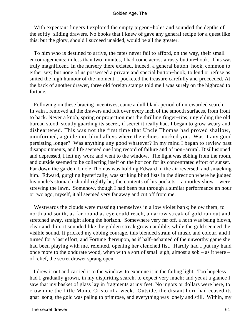With expectant fingers I explored the empty pigeon−holes and sounded the depths of the softly−sliding drawers. No books that I knew of gave any general recipe for a quest like this; but the glory, should I succeed unaided, would be all the greater.

 To him who is destined to arrive, the fates never fail to afford, on the way, their small encouragements; in less than two minutes, I had come across a rusty button−hook. This was truly magnificent. In the nursery there existed, indeed, a general button−hook, common to either sex; but none of us possessed a private and special button−hook, to lend or refuse as suited the high humour of the moment. I pocketed the treasure carefully and proceeded. At the back of another drawer, three old foreign stamps told me I was surely on the highroad to fortune.

 Following on these bracing incentives, came a dull blank period of unrewarded search. In vain I removed all the drawers and felt over every inch of the smooth surfaces, from front to back. Never a knob, spring or projection met the thrilling finger−tips; unyielding the old bureau stood, stoutly guarding its secret, if secret it really had. I began to grow weary and disheartened. This was not the first time that Uncle Thomas had proved shallow, uninformed, a guide into blind alleys where the echoes mocked you. Was it any good persisting longer? Was anything any good whatever? In my mind I began to review past disappointments, and life seemed one long record of failure and of non−arriral. Disillusioned and depressed, I left my work and went to the window. The light was ebbing from the room, and outside seemed to be collecting itself on the horizon for its concentrated effort of sunset. Far down the garden, Uncle Thomas was holding Edward in the air reversed, and smacking him. Edward, gurgling hysterically, was striking blind fists in the direction where he judged his uncle's stomach should rightly be; the contents of his pockets – a motley show – were strewing the lawn. Somehow, though I had been put through a similar performance an hour or two ago, myself, it all seemed very far away and cut off from me.

 Westwards the clouds were massing themselves in a low violet bank; below them, to north and south, as far round as eye could reach, a narrow streak of gold ran out and stretched away, straight along the horizon. Somewhere very far off, a horn was being blown, clear and thin; it sounded like the golden streak grown audible, while the gold seemed the visible sound. It pricked my ebbing courage, this blended strain of music and colour, and I turned for a last effort; and Fortune thereupon, as if half−ashamed of the unworthy game she had been playing with me, relented, opening her clenched fist. Hardly had I put my hand once more to the obdurate wood, when with a sort of small sigh, almost a sob – as it were – of relief, the secret drawer sprang open.

 I drew it out and carried it to the window, to examine it in the failing light. Too hopeless had I gradually grown, in my dispiriting search, to expect very much; and yet at a glance I saw that my basket of glass lay in fragments at my feet. No ingots or dollars were here, to crown me the little Monte Cristo of a week. Outside, the distant horn had ceased its gnat−song, the gold was paling to primrose, and everything was lonely and still. Within, my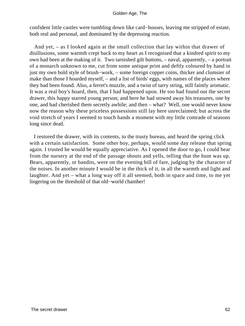confident little castles were tumbling down like card−houses, leaving me stripped of estate, both real and personal, and dominated by the depressing reaction.

 And yet, – as I looked again at the small collection that lay within that drawer of disillusions, some warmth crept back to my heart as I recognised that a kindred spirit to my own had been at the making of it. Two tarnished gilt buttons, – naval, apparently, – a portrait of a monarch unknown to me, cut from some antique print and deftly coloured by hand in just my own bold style of brush−work, – some foreign copper coins, thicker and clumsier of make than those I hoarded myself, – and a list of birds' eggs, with names of the places where they had been found. Also, a ferret's muzzle, and a twist of tarry string, still faintly aromatic. It was a real boy's hoard, then, that I had happened upon. He too had found out the secret drawer, this happy starred young person; and here he had stowed away his treasures, one by one, and had cherished them secretly awhile; and then – what? Well, one would never know now the reason why these priceless possessions still lay here unreclaimed; but across the void stretch of years I seemed to touch hands a moment with my little comrade of seasons long since dead.

 I restored the drawer, with its contents, to the trusty bureau, and heard the spring click with a certain satisfaction. Some other boy, perhaps, would some day release that spring again. I trusted he would be equally appreciative. As I opened the door to go, I could hear from the nursery at the end of the passage shouts and yells, telling that the hunt was up. Bears, apparently, or bandits, were on the evening bill of fare, judging by the character of the noises. In another minute I would be in the thick of it, in all the warmth and light and laughter. And yet – what a long way off it all seemed, both in space and time, to me yet lingering on the threshold of that old−world chamber!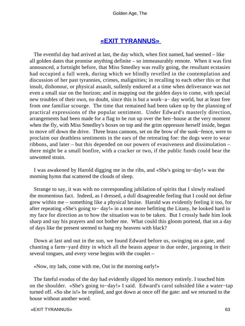# **[«EXIT TYRANNUS»](#page-83-0)**

 The eventful day had arrived at last, the day which, when first named, had seemed – like all golden dates that promise anything definite – so immeasurably remote. When it was first announced, a fortnight before, that Miss Smedley was really going, the resultant ecstasies had occupied a full week, during which we blindly revelled in the contemplation and discussion of her past tyrannies, crimes, malignities; in recalling to each other this or that insult, dishonour, or physical assault, sullenly endured at a time when deliverance was not even a small star on the horizon; and in mapping out the golden days to come, with special new troubles of their own, no doubt, since this is but a work−a− day world, but at least free from one familiar scourge. The time that remained had been taken up by the planning of practical expressions of the popular sentiment. Under Edward's masterly direction, arrangements had been made for a flag to be run up over the hen−house at the very moment when the fly, with Miss Smedley's boxes on top and the grim oppressor herself inside, began to move off down the drive. Three brass cannons, set on the brow of the sunk−fence, were to proclaim our deathless sentiments in the ears of the retreating foe: the dogs were to wear ribbons, and later – but this depended on our powers of evasiveness and dissimulation – there might be a small bonfire, with a cracker or two, if the public funds could bear the unwonted strain.

 I was awakened by Harold digging me in the ribs, and «She's going to−day!» was the morning hymn that scattered the clouds of sleep.

 Strange to say, it was with no corresponding jubilation of spirits that I slowly realised the momentous fact. Indeed, as I dressed, a dull disagreeable feeling that I could not define grew within me – something like a physical bruise. Harold was evidently feeling it too, for after repeating «She's going to− day!» in a tone more befitting the Litany, he looked hard in my face for direction as to how the situation was to be taken. But I crossly bade him look sharp and say his prayers and not bother me. What could this gloom portend, that on a day of days like the present seemed to hang my heavens with black?

 Down at last and out in the sun, we found Edward before us, swinging on a gate, and chanting a farm−yard ditty in which all the beasts appear in due order, jargoning in their several tongues, and every verse begins with the couplet –

«Now, my lads, come with me, Out in the morning early!»

 The fateful exodus of the day had evidently slipped his memory entirely. I touched him on the shoulder. «She's going to−day!» I said. Edward's carol subsided like a water−tap turned off. «So she is!» he replied, and got down at once off the gate: and we returned to the house without another word.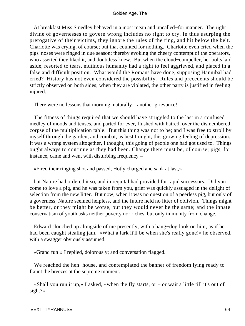At breakfast Miss Smedley behaved in a most mean and uncalled−for manner. The right divine of governesses to govern wrong includes no right to cry. In thus usurping the prerogative of their victims, they ignore the rules of the ring, and hit below the belt. Charlotte was crying, of course; but that counted for nothing. Charlotte even cried when the pigs' noses were ringed in due season; thereby evoking the cheery contempt of the operators, who asserted they liked it, and doubtless knew. But when the cloud−compeller, her bolts laid aside, resorted to tears, mutinous humanity had a right to feel aggrieved, and placed in a false and difficult position. What would the Romans have done, supposing Hannibal had cried? History has not even considered the possibility. Rules and precedents should be strictly observed on both sides; when they are violated, the other party is justified in feeling injured.

There were no lessons that morning, naturally – another grievance!

 The fitness of things required that we should have struggled to the last in a confused medley of moods and tenses, and parted for ever, flushed with hatred, over the dismembered corpse of the multiplication table. But this thing was not to be; and I was free to stroll by myself through the garden, and combat, as best I might, this growing feeling of depression. It was a wrong system altogether, I thought, this going of people one had got used to. Things ought always to continue as they had been. Change there must be, of course; pigs, for instance, came and went with disturbing frequency –

«Fired their ringing shot and passed, Hotly charged and sank at last,» –

 but Nature had ordered it so, and in requital had provided for rapid successors. Did you come to love a pig, and he was taken from you, grief was quickly assuaged in the delight of selection from the new litter. But now, when it was no question of a peerless pig, but only of a governess, Nature seemed helpless, and the future held no litter of oblivion. Things might be better, or they might be worse, but they would never be the same; and the innate conservatism of youth asks neither poverty nor riches, but only immunity from change.

 Edward slouched up alongside of me presently, with a hang−dog look on him, as if he had been caught stealing jam. «What a lark it'll be when she's really gone!» he observed, with a swagger obviously assumed.

«Grand fun!» I replied, dolorously; and conversation flagged.

 We reached the hen−house, and contemplated the banner of freedom lying ready to flaunt the breezes at the supreme moment.

«Shall you run it up,» I asked, «when the fly starts, or  $-$  or wait a little till it's out of sight?»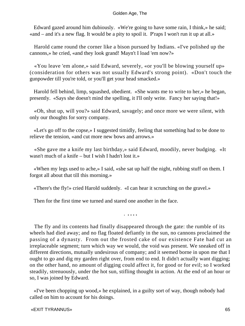Edward gazed around him dubiously. «We're going to have some rain, I think,» he said; «and – and it's a new flag. It would be a pity to spoil it. P'raps I won't run it up at all.»

 Harold came round the corner like a bison pursued by Indians. «I've polished up the cannons,» he cried, «and they look grand! Mayn't I load 'em now?»

 «You leave 'em alone,» said Edward, severely, «or you'll be blowing yourself up» (consideration for others was not usually Edward's strong point). «Don't touch the gunpowder till you're told, or you'll get your head smacked.»

 Harold fell behind, limp, squashed, obedient. «She wants me to write to her,» he began, presently. «Says she doesn't mind the spelling, it I'll only write. Fancy her saying that!»

 «Oh, shut up, will you?» said Edward, savagely; and once more we were silent, with only our thoughts for sorry company.

 «Let's go off to the copse,» I suggested timidly, feeling that something had to be done to relieve the tension, «and cut more new bows and arrows.»

 «She gave me a knife my last birthday,» said Edward, moodily, never budging. «It wasn't much of a knife – but I wish I hadn't lost it.»

 «When my legs used to ache,» I said, «she sat up half the night, rubbing stuff on them. I forgot all about that till this morning.»

«There's the fly!» cried Harold suddenly. «I can hear it scrunching on the gravel.»

Then for the first time we turned and stared one another in the face.

*. . . . .*

 The fly and its contents had finally disappeared through the gate: the rumble of its wheels had died away; and no flag floated defiantly in the sun, no cannons proclaimed the passing of a dynasty. From out the frosted cake of our existence Fate had cut an irreplaceable segment; turn which way we would, the void was present. We sneaked off in different directions, mutually undesirous of company; and it seemed borne in upon me that I ought to go and dig my garden right over, from end to end. It didn't actually want digging; on the other hand, no amount of digging could affect it, for good or for evil; so I worked steadily, strenuously, under the hot sun, stifling thought in action. At the end of an hour or so, I was joined by Edward.

 «I've been chopping up wood,» he explained, in a guilty sort of way, though nobody had called on him to account for his doings.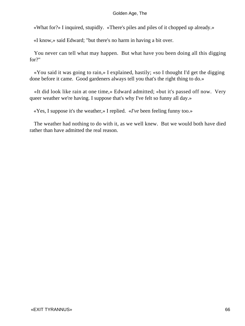«What for?» I inquired, stupidly. «There's piles and piles of it chopped up already.»

«I know,» said Edward; "but there's no harm in having a bit over.

 You never can tell what may happen. But what have you been doing all this digging for?"

 «You said it was going to rain,» I explained, hastily; «so I thought I'd get the digging done before it came. Good gardeners always tell you that's the right thing to do.»

 «It did look like rain at one time,» Edward admitted; «but it's passed off now. Very queer weather we're having. I suppose that's why I've felt so funny all day.»

«Yes, I suppose it's the weather,» I replied. «*I've* been feeling funny too.»

 The weather had nothing to do with it, as we well knew. But we would both have died rather than have admitted the real reason.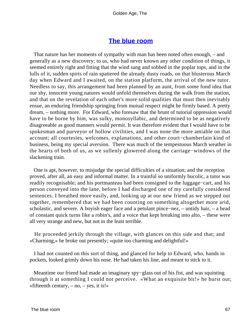# **[The blue room](#page-83-0)**

 That nature has her moments of sympathy with man has been noted often enough, – and generally as a new discovery; to us, who had never known any other condition of things, it seemed entirely right and fitting that the wind sang and sobbed in the poplar tops, and in the lulls of it, sudden spirts of rain spattered the already dusty roads, on that blusterous March day when Edward and I awaited, on the station platform, the arrival of the new tutor. Needless to say, this arrangement had been planned by an aunt, from some fond idea that our shy, innocent young natures would unfold themselves during the walk from the station, and that on the revelation of each other's more solid qualities that must then inevitably ensue, an enduring friendship springing from mutual respect might be firmly based. A pretty dream, – nothing more. For Edward, who foresaw that the brunt of tutorial oppression would have to be borne by him, was sulky, monosyllabic, and determined to be as negatively disagreeable as good manners would permit. It was therefore evident that I would have to be spokesman and purveyor of hollow civilities, and I was none the more amiable on that account; all courtesies, welcomes, explanations, and other court−chamberlain kind of business, being my special aversion. There was much of the tempestuous March weather in the hearts of both of us, as we sullenly glowered along the carriage−windows of the slackening train.

 One is apt, however, to misjudge the special difficulties of a situation; and the reception proved, after all, an easy and informal matter. In a trainful so uniformly bucolic, a tutor was readily recognisable; and his portmanteau had been consigned to the luggage−cart, and his person conveyed into the lane, before I had discharged one of my carefully considered sentences. I breathed more easily, and, looking up at our new friend as we stepped out together, remembered that we had been counting on something altogether more arid, scholastic, and severe. A boyish eager face and a petulant pince−nez, – untidy hair, – a head of constant quick turns like a robin's, and a voice that kept breaking into alto, – these were all very strange and new, but not in the least terrible.

 He proceeded jerkily through the village, with glances on this side and that; and «Charming,» he broke out presently; «quite too charming and delightful!»

 I had not counted on this sort of thing, and glanced for help to Edward, who, hands in pockets, looked grimly down his nose. He had taken his line, and meant to stick to it.

 Meantime our friend had made an imaginary spy−glass out of his fist, and was squinting through it at something I could not perceive. «What an exquisite bit!» he burst out; «fifteenth century,  $-$  no,  $-$  yes, it is!»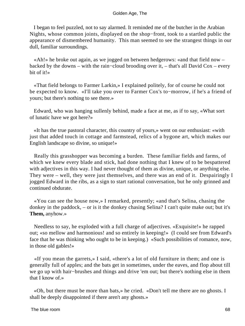I began to feel puzzled, not to say alarmed. It reminded me of the butcher in the Arabian Nights, whose common joints, displayed on the shop−front, took to a startled public the appearance of dismembered humanity. This man seemed to see the strangest things in our dull, familiar surroundings.

 «Ah!» he broke out again, as we jogged on between hedgerows: «and that field now – backed by the downs – with the rain−cloud brooding over it, – that's all David Cox – every bit of it!»

 «That field belongs to Farmer Larkin,» I explained politely, for of course he could not be expected to know. «I'll take you over to Farmer Cox's to−morrow, if he's a friend of yours; but there's nothing to see there.»

 Edward, who was hanging sullenly behind, made a face at me, as if to say, «What sort of lunatic have we got here?»

 «It has the true pastoral character, this country of yours,» went on our enthusiast: «with just that added touch in cottage and farmstead, relics of a bygone art, which makes our English landscape so divine, so unique!»

 Really this grasshopper was becoming a burden. These familiar fields and farms, of which we knew every blade and stick, had done nothing that I knew of to be bespattered with adjectives in this way. I had never thought of them as divine, unique, or anything else. They were – well, they were just themselves, and there was an end of it. Despairingly I jogged Edward in the ribs, as a sign to start rational conversation, but he only grinned and continued obdurate.

 «You can see the house now,» I remarked, presently; «and that's Selina, chasing the donkey in the paddock, – or is it the donkey chasing Selina? I can't quite make out; but it's **Them,** anyhow.»

 Needless to say, he exploded with a full charge of adjectives. «Exquisite!» he rapped out; «so mellow and harmonious! and so entirely in keeping!» (I could see from Edward's face that he was thinking who ought to be in keeping.) «Such possibilities of romance, now, in those old gables!»

 «If you mean the garrets,» I said, «there's a lot of old furniture in them; and one is generally full of apples; and the bats get in sometimes, under the eaves, and flop about till we go up with hair−brushes and things and drive 'em out; but there's nothing else in them that I know of.»

 «Oh, but there must be more than bats,» he cried. «Don't tell me there are no ghosts. I shall be deeply disappointed if there aren't any ghosts.»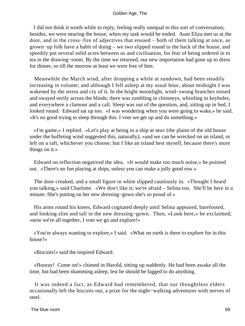I did not think it worth while to reply, feeling really unequal to this sort of conversation; besides, we were nearing the house, when my task would be ended. Aunt Eliza met us at the door, and in the cross−fire of adjectives that ensued – both of them talking at once, as grown−up folk have a habit of doing – we two slipped round to the back of the house, and speedily put several solid acres between us and civilisation, for fear of being ordered in to tea in the drawing−room. By the time we returned, our new importation had gone up to dress for dinner, so till the morrow at least we were free of him.

 Meanwhile the March wind, after dropping a while at sundown, had been steadily increasing in volume; and although I fell asleep at my usual hour, about midnight I was wakened by the stress and cry of it. In the bright moonlight, wind−swung branches tossed and swayed eerily across the blinds; there was rumbling in chimneys, whistling in keyholes, and everywhere a clamour and a call. Sleep was out of the question, and, sitting up in bed, I looked round. Edward sat up too. «I was wondering when you were going to wake,» he said. «It's no good trying to sleep through this. I vote we get up and do something.»

 «I'm game,» I replied. «Let's play at being in a ship at sea» (the plaint of the old house under the buffeting wind suggested this, naturally); «and we can be wrecked on an island, or left on a raft, whichever you choose; but I like an island best myself, because there's more things on it.»

 Edward on reflection negatived the idea. «It would make too much noise,» he pointed out. «There's no fun playing at ships, unless you can make a jolly good row.»

 The door creaked, and a small figure in white slipped cautiously in. «Thought I heard you talking,» said Charlotte. «We don't like it; we're afraid – Selina too. She'll be here in a minute. She's putting on her new dressing−gown she's so proud of.»

 His arms round his knees, Edward cogitated deeply until Selina appeared, barefooted, and looking slim and tall in the new dressing−gown. Then, «Look here,» he exclaimed; «now we're all together, I vote we go and explore!»

 «You're always wanting to explore,» I said. «What on earth is there to explore for in this house?»

«Biscuits!» said the inspired Edward.

 «Hooray! Come on!» chimed in Harold, sitting up suddenly. He had been awake all the time, but had been shamming asleep, lest he should be fagged to do anything.

 It was indeed a fact, as Edward had remembered, that our thoughtless elders occasionally left the biscuits out, a prize for the night−walking adventurer with nerves of steel.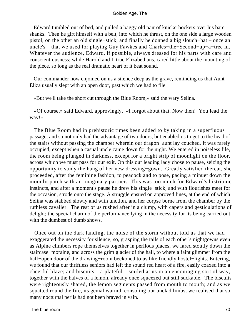Edward tumbled out of bed, and pulled a baggy old pair of knickerbockers over his bare shanks. Then he girt himself with a belt, into which he thrust, on the one side a large wooden pistol, on the other an old single−stick; and finally he donned a big slouch−hat – once an uncle's – that we used for playing Guy Fawkes and Charles−the−Second−up−a−tree in. Whatever the audience, Edward, if possible, always dressed for his parts with care and conscientiousness; while Harold and I, true Elizabethans, cared little about the mounting of the piece, so long as the real dramatic heart of it beat sound.

 Our commander now enjoined on us a silence deep as the grave, reminding us that Aunt Eliza usually slept with an open door, past which we had to file.

«But we'll take the short cut through the Blue Room,» said the wary Selina.

 «Of course,» said Edward, approvingly. «I forgot about that. Now then! You lead the way!»

 The Blue Room had in prehistoric times been added to by taking in a superfluous passage, and so not only had the advantage of two doors, but enabled us to get to the head of the stairs without passing the chamber wherein our dragon−aunt lay couched. It was rarely occupied, except when a casual uncle came down for the night. We entered in noiseless file, the room being plunged in darkness, except for a bright strip of moonlight on the floor, across which we must pass for our exit. On this our leading lady chose to pause, seizing the opportunity to study the hang of her new dressing−gown. Greatly satisfied thereat, she proceeded, after the feminine fashion, to peacock and to pose, pacing a minuet down the moonlit patch with an imaginary partner. This was too much for Edward's histrionic instincts, and after a moment's pause he drew his single−stick, and with flourishes meet for the occasion, strode onto the stage. A struggle ensued on approved lines, at the end of which Selina was stabbed slowly and with unction, and her corpse borne from the chamber by the ruthless cavalier. The rest of us rushed after in a clump, with capers and gesticulations of delight; the special charm of the performance lying in the necessity for its being carried out with the dumbest of dumb shows.

 Once out on the dark landing, the noise of the storm without told us that we had exaggerated the necessity for silence; so, grasping the tails of each other's nightgowns even as Alpine climbers rope themselves together in perilous places, we fared stoutly down the staircase−moraine, and across the grim glacier of the hall, to where a faint glimmer from the half−open door of the drawing−room beckoned to us like friendly hostel−lights. Entering, we found that our thriftless seniors had left the sound red heart of a fire, easily coaxed into a cheerful blaze; and biscuits – a plateful – smiled at us in an encouraging sort of way, together with the halves of a lemon, already once squeezed but still suckable. The biscuits were righteously shared, the lemon segments passed from mouth to mouth; and as we squatted round the fire, its genial warmth consoling our unclad limbs, we realised that so many nocturnal perils had not been braved in vain.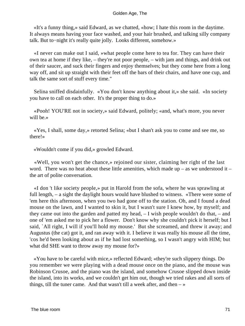«It's a funny thing,» said Edward, as we chatted, «how; I hate this room in the daytime. It always means having your face washed, and your hair brushed, and talking silly company talk. But to−night it's really quite jolly. Looks different, somehow.»

 «I never can make out I said, »what people come here to tea for. They can have their own tea at home if they like, – they're not poor people, – with jam and things, and drink out of their saucer, and suck their fingers and enjoy themselves; but they come here from a long way off, and sit up straight with their feet off the bars of their chairs, and have one cup, and talk the same sort of stuff every time."

 Selina sniffed disdainfully. «You don't know anything about it,» she said. «In society you have to call on each other. It's the proper thing to do.»

 «Pooh! YOU'RE not in society,» said Edward, politely; «and, what's more, you never will be.»

 «Yes, I shall, some day,» retorted Selina; «but I shan't ask you to come and see me, so there!»

«Wouldn't come if you did,» growled Edward.

 «Well, you won't get the chance,» rejoined our sister, claiming her right of the last word. There was no heat about these little amenities, which made up – as we understood it – the art of polite conversation.

 «I don 't like society people,» put in Harold from the sofa, where he was sprawling at full length, – a sight the daylight hours would have blushed to witness. «There were some of 'em here this afternoon, when you two had gone off to the station. Oh, and I found a dead mouse on the lawn, and I wanted to skin it, but I wasn't sure I knew how, by myself; and they came out into the garden and patted my head, – I wish people wouldn't do that, – and one of 'em asked me to pick her a flower. Don't know why she couldn't pick it herself; but I said, `All right, I will if you'll hold my mouse.' But she screamed, and threw it away; and Augustus (the cat) got it, and ran away with it. I believe it was really his mouse all the time, 'cos he'd been looking about as if he had lost something, so I wasn't angry with HIM; but what did SHE want to throw away my mouse for?»

 «You have to be careful with mice,» reflected Edward; «they're such slippery things. Do you remember we were playing with a dead mouse once on the piano, and the mouse was Robinson Crusoe, and the piano was the island, and somehow Crusoe slipped down inside the island, into its works, and we couldn't get him out, though we tried rakes and all sorts of things, till the tuner came. And that wasn't till a week after, and then  $-\infty$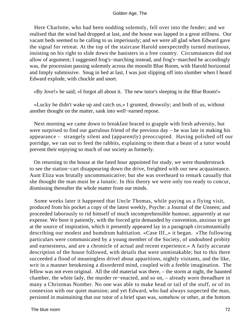Here Charlotte, who had been nodding solemnly, fell over into the fender; and we realised that the wind had dropped at last, and the house was lapped in a great stillness. Our vacant beds seemed to be calling to us imperiously; and we were all glad when Edward gave the signal for retreat. At the top of the staircase Harold unexpectedly turned mutinous, insisting on his right to slide down the banisters in a free country. Circumstances did not allow of argument; I suggested frog's−marching instead, and frog's−marched he accordingly was, the procession passing solemnly across the moonlit Blue Room, with Harold horizontal and limply submissive. Snug in bed at last, I was just slipping off into slumber when I heard Edward explode, with chuckle and snort.

«By Jove!» he said; «I forgot all about it. The new tutor's sleeping in the Blue Room!»

 «Lucky he didn't wake up and catch us,» I grunted, drowsily; and both of us, without another thought on the matter, sank into well−earned repose.

 Next morning we came down to breakfast braced to grapple with fresh adversity, but were surprised to find our garrulous friend of the previous day – he was late in making his appearance – strangely silent and (apparently) preoccupied. Having polished off our porridge, we ran out to feed the rabbits, explaining to them that a beast of a tutor would prevent their enjoying so much of our society as formerly.

 On returning to the house at the fated hour appointed for study, we were thunderstruck to see the station−cart disappearing down the drive, freighted with our new acquaintance. Aunt Eliza was brutally uncommunicative; but she was overheard to remark casually that she thought the man must be a lunatic. In this theory we were only too ready to concur, dismissing thereafter the whole matter from our minds.

 Some weeks later it happened that Uncle Thomas, while paying us a flying visit, produced from his pocket a copy of the latest weekly, Psyche: a Journal of the Unseen; and proceeded laborously to rid himself of much incomprehensible humour, apparently at our expense. We bore it patiently, with the forced grin demanded by convention, anxious to get at the source of inspiration, which it presently appeared lay in a paragraph circumstantially describing our modest and humdrum habitation. «Case III.,» it began. «The following particulars were communicated by a young member of the Society, of undoubted probity and earnestness, and are a chronicle of actual and recent experience.» A fairly accurate description of the house followed, with details that were unmistakable; but to this there succeeded a flood of meaningless drivel about apparitions, nightly visitants, and the like, writ in a manner betokening a disordered mind, coupled with a feeble imagination. The fellow was not even original. All the old material was there, – the storm at night, the haunted chamber, the white lady, the murder re−enacted, and so on, – already worn threadbare in many a Christmas Number. No one was able to make head or tail of the stuff, or of its connexion with our quiet mansion; and yet Edward, who had always suspected the man, persisted in maintaining that our tutor of a brief span was, somehow or other, at the bottom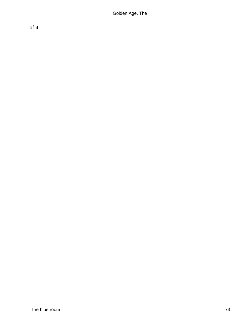of it.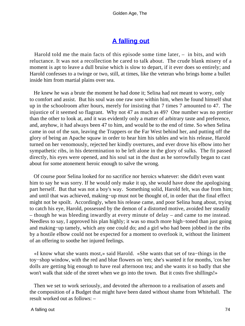# **[A falling out](#page-83-0)**

<span id="page-74-0"></span> Harold told me the main facts of this episode some time later, – in bits, and with reluctance. It was not a recollection he cared to talk about. The crude blank misery of a moment is apt to leave a dull bruise which is slow to depart, if it ever does so entirely; and Harold confesses to a twinge or two, still, at times, like the veteran who brings home a bullet inside him from martial plains over sea.

 He knew he was a brute the moment he had done it; Selina had not meant to worry, only to comfort and assist. But his soul was one raw sore within him, when he found himself shut up in the schoolroom after hours, merely for insisting that 7 times 7 amounted to 47. The injustice of it seemed so flagrant. Why not 47 as much as 49? One number was no prettier than the other to look at, and it was evidently only a matter of arbitrary taste and preference, and, anyhow, it had always been 47 to him, and would be to the end of time. So when Selina came in out of the sun, leaving the Trappers or the Far West behind her, and putting off the glory of being an Apache squaw in order to hear him his tables and win his release, Harold turned on her venomously, rejected her kindly overtures, and ever drove his elbow into her sympathetic ribs, in his determination to be left alone in the glory of sulks. The fit passed directly, his eyes were opened, and his soul sat in the dust as he sorrowfully began to cast about for some atonement heroic enough to salve the wrong.

 Of course poor Selina looked for no sacrifice nor heroics whatever: she didn't even want him to say he was sorry. If he would only make it up, she would have done the apologising part herself. But that was not a boy's way. Something solid, Harold felt, was due from him; and until that was achieved, making−up must not be thought of, in order that the final effect might not be spoilt. Accordingly, when his release came, and poor Selina hung about, trying to catch his eye, Harold, possessed by the demon of a distorted motive, avoided her steadily – though he was bleeding inwardly at every minute of delay – and came to me instead. Needless to say, I approved his plan highly; it was so much more high–toned than just going and making−up tamely, which any one could do; and a girl who had been jobbed in the ribs by a hostile elbow could not be expected for a moment to overlook it, without the liniment of an offering to soothe her injured feelings.

 «I know what she wants most,» said Harold. «She wants that set of tea−things in the toy−shop window, with the red and blue flowers on 'em; she's wanted it for months, 'cos her dolls are getting big enough to have real afternoon tea; and she wants it so badly that she won't walk that side of the street when we go into the town. But it costs five shillings!»

 Then we set to work seriously, and devoted the afternoon to a realisation of assets and the composition of a Budget that might have been dated without shame from Whitehall. The result worked out as follows: –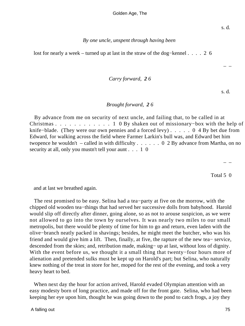### *By one uncle, unspent through having been*

lost for nearly a week – turned up at last in the straw of the dog−kennel . . . . 2 6

### *Carry forward, 2 6*

s. d.

– –

## *Brought forward, 2 6*

 By advance from me on security of next uncle, and failing that, to be called in at Christmas . . . . . . . . . . . . 1 0 By shaken out of missionary–box with the help of knife−blade. (They were our own pennies and a forced levy) . . . . . 0 4 By bet due from Edward, for walking across the field where Farmer Larkin's bull was, and Edward bet him twopence he wouldn't – called in with difficulty  $\dots \dots 0$  2 By advance from Martha, on no security at all, only you mustn't tell your aunt . . . 1 0

– –

Total 5 0

and at last we breathed again.

 The rest promised to be easy. Selina had a tea−party at five on the morrow, with the chipped old wooden tea−things that had served her successive dolls from babyhood. Harold would slip off directly after dinner, going alone, so as not to arouse suspicion, as we were not allowed to go into the town by ourselves. It was nearly two miles to our small metropolis, but there would be plenty of time for him to go and return, even laden with the olive−branch neatly packed in shavings; besides, he might meet the butcher, who was his friend and would give him a lift. Then, finally, at five, the rapture of the new tea− service, descended from the skies; and, retribution made, making− up at last, without loss of dignity. With the event before us, we thought it a small thing that twenty−four hours more of alienation and pretended sulks must be kept up on Harold's part; but Selina, who naturally knew nothing of the treat in store for her, moped for the rest of the evening, and took a very heavy heart to bed.

 When next day the hour for action arrived, Harold evaded Olympian attention with an easy modesty born of long practice, and made off for the front gate. Selina, who had been keeping her eye upon him, thought he was going down to the pond to catch frogs, a joy they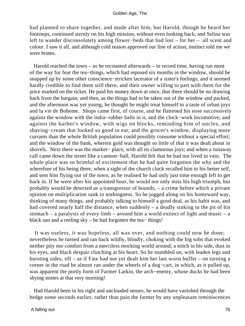had planned to share together, and made after him; but Harold, though he heard her footsteps, continued sternly on his high mission, without even looking back; and Selina was left to wander disconsolately among flower−beds that had lost – for her – all scent and colour. I saw it all, and although cold reason approved our line of action, instinct told me we were brutes.

 Harold reached the town – so he recounted afterwards – in record time, having run most of the way for fear the tea−things, which had reposed six months in the window, should be snapped up by some other conscience−stricken lacerator of a sister's feelings; and it seemed hardly credible to find them still there, and their owner willing to part with them for the price marked on the ticket. He paid his money down at once, that there should be no drawing back from the bargain; and then, as the things had to be taken out of the window and packed, and the afternoon was yet young, he thought he might treat himself to a taste of urban joys and la vie de Boheme. Shops came first, of course, and he flattened his nose successively against the window with the india−rubber balls in it, and the clock−work locomotive; and against the barber's window, with wigs on blocks, reminding him of uncles, and shaving−cream that looked so good to eat; and the grocer's window, displaying more currants than the whole British population could possibly consume without a special effort; and the window of the bank, wherein gold was thought so little of that it was dealt about in shovels. Next there was the market− place, with all its clamorous joys; and when a runaway calf came down the street like a cannon−ball, Harold felt that he had not lived in vain. The whole place was so brimful of excitement that he had quite forgotten the why and the wherefore of his being there, when a sight of the church clock recalled him to his better self, and sent him flying out of the town, as he realised he had only just time enough left to get back in. If he were after his appointed hour, he would not only miss his high triumph, but probably would be detected as a transgressor of bounds, – a crime before which a private opinion on multiplication sank to nothingness. So he jogged along on his homeward way, thinking of many things, and probably talking to himself a good deal, as his habit was, and had covered nearly half the distance, when suddenly – a deadly sinking in the pit of his stomach – a paralysis of every limb – around him a world extinct of light and music – a black sun and a reeling sky – he had forgotten the tea− things!

 It was useless, it was hopeless, all was over, and nothing could now be done; nevertheless he turned and ran back wildly, blindly, choking with the big sobs that evoked neither pity nor comfort from a merciless mocking world around; a stitch in his side, dust in his eyes, and black despair clutching at his heart. So he stumbled on, with leaden legs and bursting sides, till – as if Fate had not yet dealt him her last worst buffet – on turning a corner in the road he almost ran under the wheels of a dog−cart, in which, as it pulled up, was apparent the portly form of Farmer Larkin, the arch−enemy, whose ducks he had been shying stones at that very morning!

 Had Harold been in his right and unclouded senses, he would have vanished through the hedge some seconds earlier, rather than pain the farmer by any unpleasant reminiscences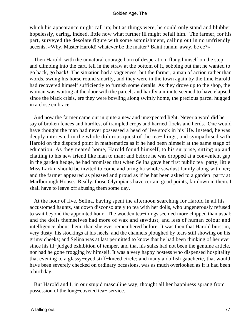which his appearance might call up; but as things were, he could only stand and blubber hopelessly, caring, indeed, little now what further ill might befall him. The farmer, for his part, surveyed the desolate figure with some astonishment, calling out in no unfriendly accents, «Why, Master Harold! whatever be the matter? Baint runnin' away, be ee?»

 Then Harold, with the unnatural courage born of desperation, flung himself on the step, and climbing into the cart, fell in the straw at the bottom of it, sobbing out that he wanted to go back, go back! The situation had a vagueness; but the farmer, a man of action rather than words, swung his horse round smartly, and they were in the town again by the time Harold had recovered himself sufficiently to furnish some details. As they drove up to the shop, the woman was waiting at the door with the parcel; and hardly a minute seemed to have elapsed since the black crisis, ere they were bowling along swiftly home, the precious parcel hugged in a close embrace.

 And now the farmer came out in quite a new and unexpected light. Never a word did he say of broken fences and hurdles, of trampled crops and harried flocks and herds. One would have thought the man had never possessed a head of live stock in his life. Instead, he was deeply interested in the whole dolorous quest of the tea−things, and sympathised with Harold on the disputed point in mathematics as if he had been himself at the same stage of education. As they neared home, Harold found himself, to his surprise, sitting up and chatting to his new friend like man to man; and before he was dropped at a convenient gap in the garden hedge, he had promised that when Selina gave her first public tea−party, little Miss Larkin should be invited to come and bring ha whole sawdust family along with her; and the farmer appeared as pleased and proud as if he hat been asked to a garden−party at Marlborough House. Really, those Olympians have certain good points, far down in them. I shall have to leave off abusing them some day.

 At the hour of five, Selina, having spent the afternoon searching for Harold in all his accustomed haunts, sat down disconsolately to tea with her dolls, who ungenerously refused to wait beyond the appointed hour. The wooden tea−things seemed more chipped than usual; and the dolls themselves had more of wax and sawdust, and less of human colour and intelligence about them, than she ever remembered before. It was then that Harold burst in, very dusty, his stockings at his heels, and the channels ploughed by tears still showing on his grimy cheeks; and Selina was at last permitted to know that he had been thinking of her ever since his ill−judged exhibition of temper, and that his sulks had not been the genuine article, nor had he gone frogging by himself. It was a very happy hostess who dispensed hospitality that evening to a glassy−eyed stiff−kneed circle; and many a dollish gaucherie, that would have been severely checked on ordinary occasions, was as much overlooked as if it had been a birthday.

 But Harold and I, in our stupid masculine way, thought all her happiness sprang from possession of the long−coveted tea− service.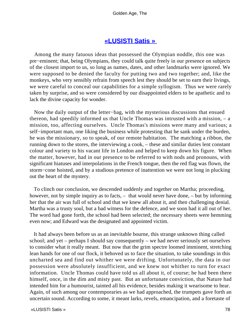# **[«LUSISTI Satis »](#page-83-0)**

<span id="page-78-0"></span> Among the many fatuous ideas that possessed the Olympian noddle, this one was pre−eminent; that, being Olympians, they could talk quite freely in our presence on subjects of the closest import to us, so long as names, dates, and other landmarks were ignored. We were supposed to be denied the faculty for putting two and two together; and, like the monkeys, who very sensibly refrain from speech lest they should be set to earn their livings, we were careful to conceal our capabilities for a simple syllogism. Thus we were rarely taken by surprise, and so were considered by our disappointed elders to be apathetic and to lack the divine capacity for wonder.

 Now the daily output of the letter−bag, with the mysterious discussions that ensued thereon, had speedily informed us that Uncle Thomas was intrusted with a mission, – a mission, too, affecting ourselves. Uncle Thomas's missions were many and various; a self–important man, one liking the business while protesting that he sank under the burden, he was the missionary, so to speak, of our remote habitation. The matching a ribbon, the running down to the stores, the interviewing a cook, – these and similar duties lent constant colour and variety to his vacant life in London and helped to keep down his figure. When the matter, however, had in our presence to be referred to with nods and pronouns, with significant hiatuses and interpolations in the French tongue, then the red flag was flown, the storm−cone hoisted, and by a studious pretence of inattention we were not long in plucking out the heart of the mystery.

 To clinch our conclusion, we descended suddenly and together on Martha; proceeding, however, not by simple inquiry as to facts,  $-$  that would never have done,  $-$  but by informing her that the air was full of school and that we knew all about it, and then challenging denial. Martha was a trusty soul, but a bad witness for the defence, and we soon had it all out of her. The word had gone forth, the school had been selected; the necessary sheets were hemming even now; and Edward was the designated and appointed victim.

 It had always been before us as an inevitable bourne, this strange unknown thing called school; and yet – perhaps I should say consequently – we had never seriously set ourselves to consider what it really meant. But now that the grim spectre loomed imminent, stretching lean hands for one of our flock, it behoved us to face the situation, to take soundings in this uncharted sea and find out whither we were drifting. Unfortunately, the data in our possession were absolutely insufficient, and we knew not whither to turn for exact information. Uncle Thomas could have told us all about it, of course; he had been there himself, once, in the dim and misty past. But an unfortunate conviction, that Nature had intended him for a humourist, tainted all his evidence, besides making it wearisome to hear. Again, of such among our contemporaries as we had approached, the trumpets gave forth an uncertain sound. According to some, it meant larks, revels, emancipation, and a foretaste of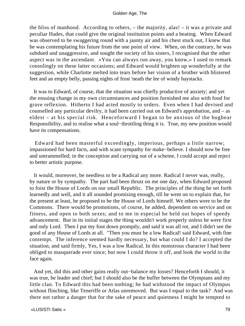the bliss of manhood. According to others, – the majority, alas! – it was a private and peculiar Hades, that could give the original institution points and a beating. When Edward was observed to be swaggering round with a jaunty air and his chest stuck out, I knew that he was contemplating his future from the one point of view. When, on the contrary, he was subdued and unaggressive, and sought the society of his sisters, I recognised that the other aspect was in the ascendant. «You can always run away, you know,» I used to remark consolingly on these latter occasions; and Edward would brighten up wonderfully at the suggestion, while Charlotte melted into tears before her vision of a brother with blistered feet and an empty belly, passing nights of frost 'neath the lee of windy haystacks.

 It was to Edward, of course, that the situation was chiefly productive of anxiety; and yet the ensuing change in my own circumstances and position furnished me also with food for grave reflexion. Hitherto I had acted mostly to orders. Even when I had devised and counselled any particular devilry, it had been carried out on Edward's approbation, and – as eldest – at his special risk. Henceforward I began to be anxious of the bugbear Responsibility, and to realise what a soul−throttling thing it is. True, my new position would have its compensations.

 Edward had been masterful exceedingly, imperious, perhaps a little narrow; impassioned for hard facts, and with scant sympathy for make−believe. I should now be free and untrammelled; in the conception and carrying out of a scheme, I could accept and reject to better artistic purpose.

 It would, moreover, be needless to be a Radical any more. Radical I never was, really, by nature or by sympathy. The part had been thrust on me one day, when Edward proposed to foist the House of Lords on our small Republic. The principles of the thing he set forth learnedly and well, and it all sounded promising enough, till he went on to explain that, for the present at least, he proposed to be the House of Lords himself. We others were to be the Commons. There would be promotions, of course, he added, dependent on service and on fitness, and open to both sexes; and to me in especial he held out hopes of speedy advancement. But in its initial stages the thing wouldn't work properly unless he were first and only Lord. Then I put my foot down promptly, and said it was all rot, and I didn't see the good of any House of Lords at all. "Then you must be a low Radical! said Edward, with fine contempt. The inference seemed hardly necessary, but what could I do? I accepted the situation, and said firmly, Yes, I was a low Radical. In this monstrous character I had been obliged to masquerade ever since; but now I could throw it off, and look the world in the face again.

 And yet, did this and other gains really out−balance my losses? Henceforth I should, it was true, be leader and chief; but I should also be the buffer between the Olympians and my little clan. To Edward this had been nothing; he had withstood the impact of Olympus without flinching, like Teneriffe or Atlas unremoved. But was I equal to the task? And was there not rather a danger that for the sake of peace and quietness I might be tempted to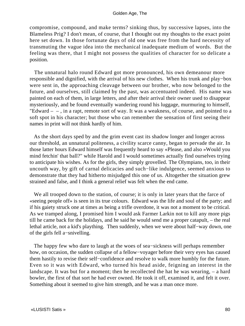compromise, compound, and make terms? sinking thus, by successive lapses, into the Blameless Prig? I don't mean, of course, that I thought out my thoughts to the exact point here set down. In those fortunate days of old one was free from the hard necessity of transmuting the vague idea into the mechanical inadequate medium of words. But the feeling was there, that I might not possess the qualities of character for so delicate a position.

 The unnatural halo round Edward got more pronounced, his own demeanour more responsible and dignified, with the arrival of his new clothes. When his trunk and play−box were sent in, the approaching cleavage between our brother, who now belonged to the future, and ourselves, still claimed by the past, was accentuated indeed. His name was painted on each of them, in large letters, and after their arrival their owner used to disappear mysteriously, and be found eventually wandering round his luggage, murmuring to himself, "Edward  $-$ , in a rapt, remote sort of way. It was a weakness, of course, and pointed to a soft spot in his character; but those who can remember the sensation of first seeing their names in print will not think hardly of him.

 As the short days sped by and the grim event cast its shadow longer and longer across our threshold, an unnatural politeness, a civility scarce canny, began to pervade the air. In those latter hours Edward himself was frequently heard to say «Please, and also »Would you mind fetchin' that ball?" while Harold and I would sometimes actually find ourselves trying to anticipate his wishes. As for the girls, they simply grovelled. The Olympians, too, in their uncouth way, by gift of carnal delicacies and such−like indulgence, seemed anxious to demonstrate that they had hitherto misjudged this one of us. Altogether the situation grew strained and false, and I think a general relief was felt when the end came.

 We all trooped down to the station, of course; it is only in later years that the farce of «seeing people off» is seen in its true colours. Edward was the life and soul of the party; and if his gaiety struck one at times as being a trifle overdone, it was not a moment to be critical. As we tramped along, I promised him I would ask Farmer Larkin not to kill any more pigs till he came back for the holidays, and he said he would send me a proper catapult, – the real lethal article, not a kid's plaything. Then suddenly, when we were about half−way down, one of the girls fell a−snivelling.

 The happy few who dare to laugh at the woes of sea−sickness will perhaps remember how, on occasion, the sudden collapse of a fellow−voyager before their very eyes has caused them hastily to revise their self−confidence and resolve to walk more humbly for the future. Even so it was with Edward, who turned his head aside, feigning an interest in the landscape. It was but for a moment; then he recollected the hat he was wearing, – a hard bowler, the first of that sort he had ever owned. He took it off, examined it, and felt it over. Something about it seemed to give him strength, and he was a man once more.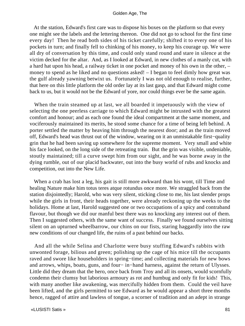At the station, Edward's first care was to dispose his boxes on the platform so that every one might see the labels and the lettering thereon. One did not go to school for the first time every day! Then he read both sides of his ticket carefully; shifted it to every one of his pockets in turn; and finally fell to chinking of his money, to keep his courage up. We were all dry of conversation by this time, and could only stand round and stare in silence at the victim decked for the altar. And, as I looked at Edward, in new clothes of a manly cut, with a hard hat upon his head, a railway ticket in one pocket and money of his own in the other, – money to spend as he liked and no questions asked! – I began to feel dimly how great was the gulf already yawning betwixt us. Fortunately I was not old enough to realise, further, that here on this little platform the old order lay at its last gasp, and that Edward might come back to us, but it would not be the Edward of yore, nor could things ever be the same again.

 When the train steamed up at last, we all boarded it impetuously with the view of selecting the one peerless carriage to which Edward might be intrusted with the greatest comfort and honour; and as each one found the ideal compartment at the same moment, and vociferously maintained its merits, he stood some chance for a time of being left behind. A porter settled the matter by heaving him through the nearest door; and as the train moved off, Edward's head was thrust out of the window, wearing on it an unmistakable first−quality grin that he had been saving up somewhere for the supreme moment. Very small and white his face looked, on the long side of the retreating train. But the grin was visible, undeniable, stoutly maintained; till a curve swept him from our sight, and he was borne away in the dying rumble, out of our placid backwater, out into the busy world of rubs and knocks and competition, out into the New Life.

 When a crab has lost a leg, his gait is still more awkward than his wont, till Time and healing Nature make him totus teres atque rotundus once more. We straggled back from the station disjointedly; Harold, who was very silent, sticking close to me, his last slender props while the girls in front, their heads together, were already reckoning up the weeks to the holidays. Home at last, Harold suggested one or two occupations of a spicy and contraband flavour, but though we did our manful best there was no knocking any interest out of them. Then I suggested others, with the same want of success. Finally we found ourselves sitting silent on an upturned wheelbarrow, our chins on our fists, staring haggardly into the raw new conditions of our changed life, the ruins of a past behind our backs.

 And all the while Selina and Charlotte were busy stuffing Edward's rabbits with unwonted forage, bilious and green; polishing up the cage of his mice till the occupants raved and swore like householders in spring−time; and collecting materials for new bows and arrows, whips, boats, guns, and four− in−hand harness, against the return of Ulysses. Little did they dream that the hero, once back from Troy and all its onsets, would scornfully condemn their clumsy but laborious armoury as rot and humbug and only fit for kids! This, with many another like awakening, was mercifully hidden from them. Could the veil have been lifted, and the girls permitted to see Edward as he would appear a short three months hence, ragged of attire and lawless of tongue, a scorner of tradition and an adept in strange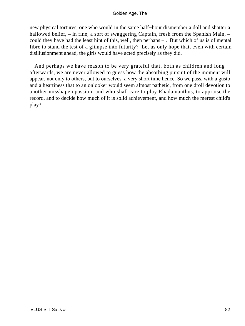new physical tortures, one who would in the same half−hour dismember a doll and shatter a hallowed belief, – in fine, a sort of swaggering Captain, fresh from the Spanish Main, – could they have had the least hint of this, well, then perhaps – . But which of us is of mental fibre to stand the test of a glimpse into futurity? Let us only hope that, even with certain disillusionment ahead, the girls would have acted precisely as they did.

 And perhaps we have reason to be very grateful that, both as children and long afterwards, we are never allowed to guess how the absorbing pursuit of the moment will appear, not only to others, but to ourselves, a very short time hence. So we pass, with a gusto and a heartiness that to an onlooker would seem almost pathetic, from one droll devotion to another misshapen passion; and who shall care to play Rhadamanthus, to appraise the record, and to decide how much of it is solid achievement, and how much the merest child's play?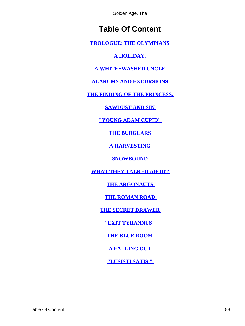# **Table Of Content**

<span id="page-83-0"></span>**[PROLOGUE: THE OLYMPIANS](#page-3-0)** 

**[A HOLIDAY.](#page-6-0)** 

**[A WHITE−WASHED UNCLE](#page-11-0)** 

**[ALARUMS AND EXCURSIONS](#page-14-0)** 

**[THE FINDING OF THE PRINCESS.](#page-19-0)** 

**[SAWDUST AND SIN](#page-23-0)** 

**["YOUNG ADAM CUPID"](#page-27-0)** 

**[THE BURGLARS](#page-31-0)** 

**[A HARVESTING](#page-36-0)** 

**SNOWBOUND** 

**[WHAT THEY TALKED ABOUT](#page-44-0)** 

**THE ARGONAUTS** 

**[THE ROMAN ROAD](#page-53-0)** 

**[THE SECRET DRAWER](#page-59-0)** 

**["EXIT TYRANNUS"](#page-63-0)** 

**[THE BLUE ROOM](#page-67-0)** 

**[A FALLING OUT](#page-74-0)** 

**["LUSISTI SATIS "](#page-78-0)**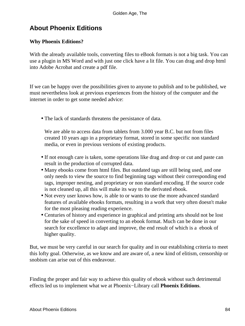# **About Phoenix Editions**

# **Why Phoenix Editions?**

With the already available tools, converting files to eBook formats is not a big task. You can use a plugin in MS Word and with just one click have a lit file. You can drag and drop html into Adobe Acrobat and create a pdf file.

If we can be happy over the possibilities given to anyone to publish and to be published, we must nevertheless look at previous experiences from the history of the computer and the internet in order to get some needed advice:

• The lack of standards threatens the persistance of data.

We are able to access data from tablets from 3.000 year B.C. but not from files created 10 years ago in a proprietary format, stored in some specific non standard media, or even in previous versions of existing products.

- If not enough care is taken, some operations like drag and drop or cut and paste can result in the production of corrupted data.
- Many ebooks come from html files. But outdated tags are still being used, and one only needs to view the source to find beginning tags without their corresponding end tags, improper nesting, and proprietary or non standard encoding. If the source code is not cleaned up, all this will make its way to the derivated ebook.
- Not every user knows how, is able to or wants to use the more advanced standard features of available ebooks formats, resulting in a work that very often doesn't make for the most pleasing reading experience.
- Centuries of history and experience in graphical and printing arts should not be lost for the sake of speed in converting to an ebook format. Much can be done in our search for excellence to adapt and improve, the end result of which is a ebook of higher quality.

But, we must be very careful in our search for quality and in our establishing criteria to meet this lofty goal. Otherwise, as we know and are aware of, a new kind of elitism, censorship or snobism can arise out of this endeavour.

Finding the proper and fair way to achieve this quality of ebook without such detrimental effects led us to implement what we at Phoenix−Library call **Phoenix Editions**.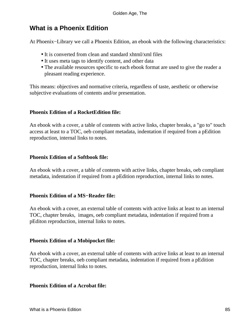# **What is a Phoenix Edition**

At Phoenix−Library we call a Phoenix Edition, an ebook with the following characteristics:

- It is converted from clean and standard xhtml/xml files
- It uses meta tags to identify content, and other data
- The available resources specific to each ebook format are used to give the reader a pleasant reading experience.

This means: objectives and normative criteria, regardless of taste, aesthetic or otherwise subjective evaluations of contents and/or presentation.

## **Phoenix Edition of a RocketEdition file:**

An ebook with a cover, a table of contents with active links, chapter breaks, a "go to" touch access at least to a TOC, oeb compliant metadata, indentation if required from a pEdition reproduction, internal links to notes.

### **Phoenix Edition of a Softbook file:**

An ebook with a cover, a table of contents with active links, chapter breaks, oeb compliant metadata, indentation if required from a pEdition reproduction, internal links to notes.

### **Phoenix Edition of a MS−Reader file:**

An ebook with a cover, an external table of contents with active links at least to an internal TOC, chapter breaks, images, oeb compliant metadata, indentation if required from a pEditon reproduction, internal links to notes.

### **Phoenix Edition of a Mobipocket file:**

An ebook with a cover, an external table of contents with active links at least to an internal TOC, chapter breaks, oeb compliant metadata, indentation if required from a pEdition reproduction, internal links to notes.

#### **Phoenix Edition of a Acrobat file:**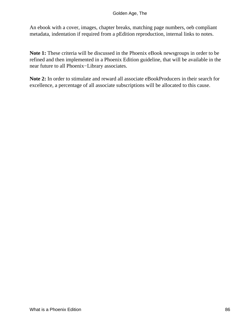An ebook with a cover, images, chapter breaks, matching page numbers, oeb compliant metadata, indentation if required from a pEdition reproduction, internal links to notes.

**Note 1:** These criteria will be discussed in the Phoenix eBook newsgroups in order to be refined and then implemented in a Phoenix Edition guideline, that will be available in the near future to all Phoenix−Library associates.

**Note 2:** In order to stimulate and reward all associate eBookProducers in their search for excellence, a percentage of all associate subscriptions will be allocated to this cause.